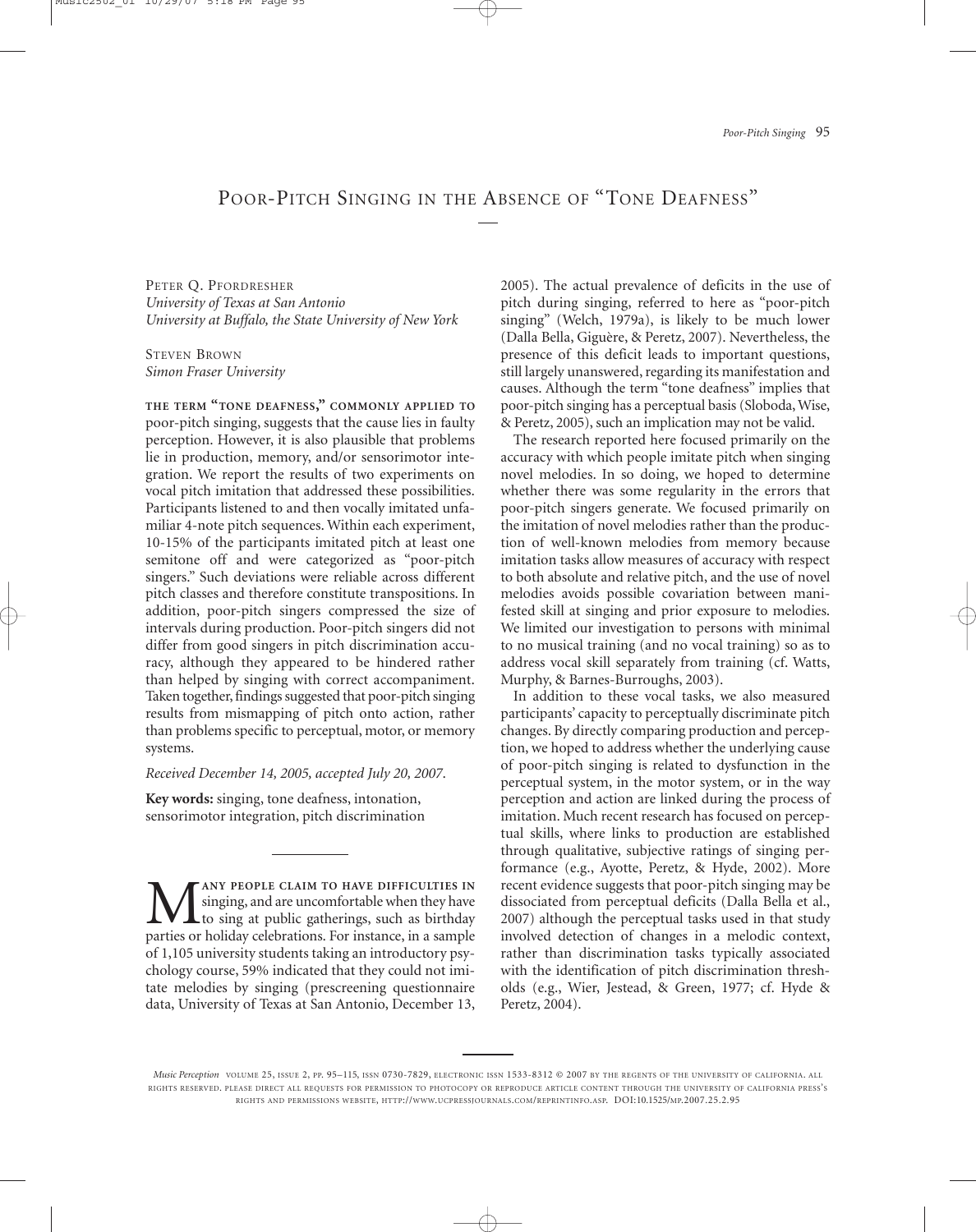# POOR-PITCH SINGING IN THE ABSENCE OF "TONE DEAFNESS"

PETER Q. PFORDRESHER *University of Texas at San Antonio University at Buffalo, the State University of New York*

STEVEN BROWN *Simon Fraser University*

**THE TERM "TONE DEAFNESS," COMMONLY APPLIED TO** poor-pitch singing, suggests that the cause lies in faulty perception. However, it is also plausible that problems lie in production, memory, and/or sensorimotor integration. We report the results of two experiments on vocal pitch imitation that addressed these possibilities. Participants listened to and then vocally imitated unfamiliar 4-note pitch sequences. Within each experiment, 10-15% of the participants imitated pitch at least one semitone off and were categorized as "poor-pitch singers." Such deviations were reliable across different pitch classes and therefore constitute transpositions. In addition, poor-pitch singers compressed the size of intervals during production. Poor-pitch singers did not differ from good singers in pitch discrimination accuracy, although they appeared to be hindered rather than helped by singing with correct accompaniment. Taken together, findings suggested that poor-pitch singing results from mismapping of pitch onto action, rather than problems specific to perceptual, motor, or memory systems.

*Received December 14, 2005, accepted July 20, 2007*.

**Key words:** singing, tone deafness, intonation, sensorimotor integration, pitch discrimination

**MANY PEOPLE CLAIM TO HAVE DIFFICULTIES IN**<br>singing, and are uncomfortable when they have<br>parties or holiday celebrations. For instance, in a sample singing, and are uncomfortable when they have to sing at public gatherings, such as birthday parties or holiday celebrations. For instance, in a sample of 1,105 university students taking an introductory psychology course, 59% indicated that they could not imitate melodies by singing (prescreening questionnaire data, University of Texas at San Antonio, December 13,

2005). The actual prevalence of deficits in the use of pitch during singing, referred to here as "poor-pitch singing" (Welch, 1979a), is likely to be much lower (Dalla Bella, Giguère, & Peretz, 2007). Nevertheless, the presence of this deficit leads to important questions, still largely unanswered, regarding its manifestation and causes. Although the term "tone deafness" implies that poor-pitch singing has a perceptual basis (Sloboda, Wise, & Peretz, 2005), such an implication may not be valid.

The research reported here focused primarily on the accuracy with which people imitate pitch when singing novel melodies. In so doing, we hoped to determine whether there was some regularity in the errors that poor-pitch singers generate. We focused primarily on the imitation of novel melodies rather than the production of well-known melodies from memory because imitation tasks allow measures of accuracy with respect to both absolute and relative pitch, and the use of novel melodies avoids possible covariation between manifested skill at singing and prior exposure to melodies. We limited our investigation to persons with minimal to no musical training (and no vocal training) so as to address vocal skill separately from training (cf. Watts, Murphy, & Barnes-Burroughs, 2003).

In addition to these vocal tasks, we also measured participants' capacity to perceptually discriminate pitch changes. By directly comparing production and perception, we hoped to address whether the underlying cause of poor-pitch singing is related to dysfunction in the perceptual system, in the motor system, or in the way perception and action are linked during the process of imitation. Much recent research has focused on perceptual skills, where links to production are established through qualitative, subjective ratings of singing performance (e.g., Ayotte, Peretz, & Hyde, 2002). More recent evidence suggests that poor-pitch singing may be dissociated from perceptual deficits (Dalla Bella et al., 2007) although the perceptual tasks used in that study involved detection of changes in a melodic context, rather than discrimination tasks typically associated with the identification of pitch discrimination thresholds (e.g., Wier, Jestead, & Green, 1977; cf. Hyde & Peretz, 2004).

*Music Perception* VOLUME 25, ISSUE 2, PP. 95-115, ISSN 0730-7829, ELECTRONIC ISSN 1533-8312 © 2007 BY THE REGENTS OF THE UNIVERSITY OF CALIFORNIA. ALL RIGHTS RESERVED. PLEASE DIRECT ALL REQUESTS FOR PERMISSION TO PHOTOCOPY OR REPRODUCE ARTICLE CONTENT THROUGH THE UNIVERSITY OF CALIFORNIA PRESS'S RIGHTS AND PERMISSIONS WEBSITE, HTTP://WWW.UCPRESSJOURNALS.COM/REPRINTINFO.ASP. DOI:10.1525/MP.2007.25.2.95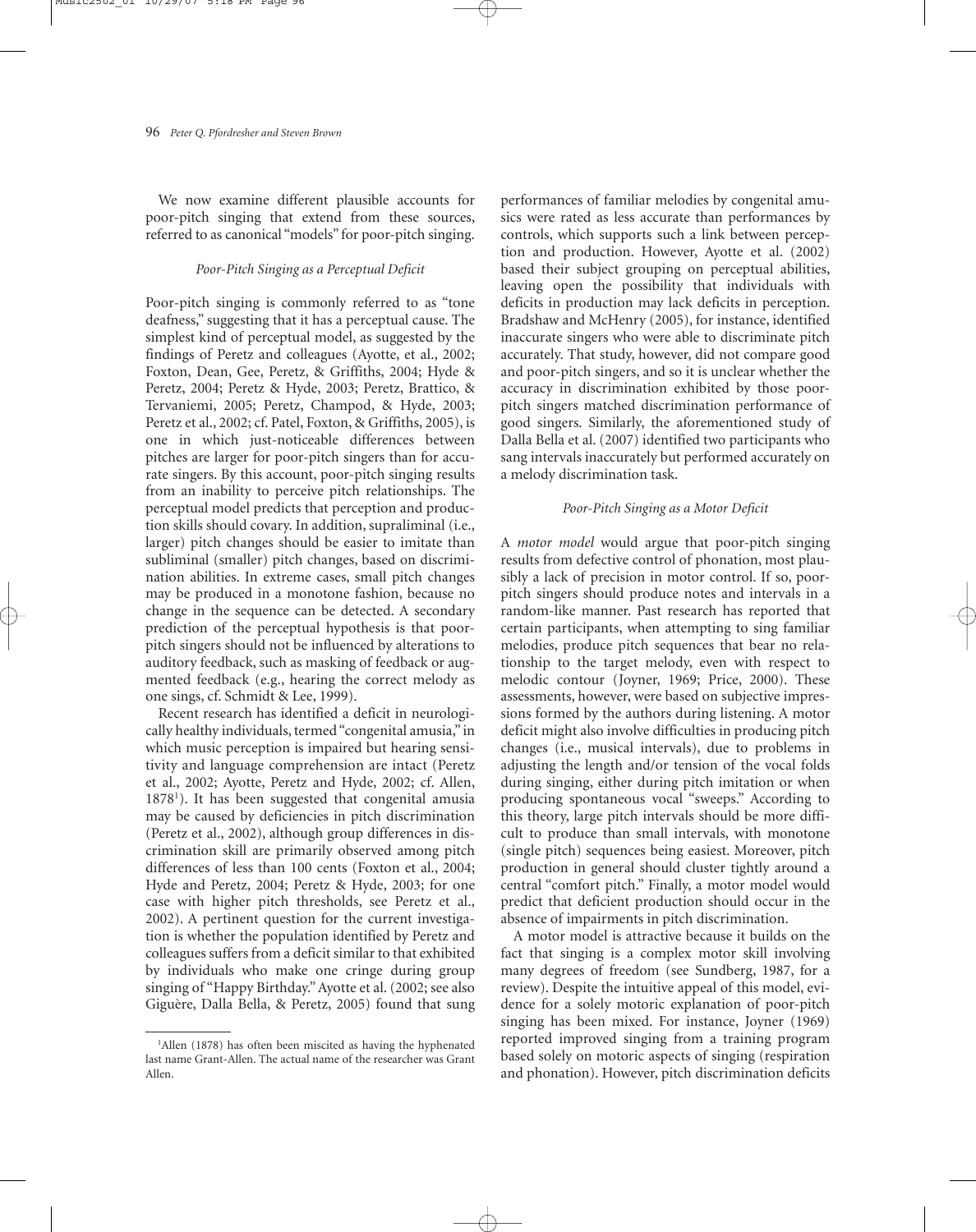We now examine different plausible accounts for poor-pitch singing that extend from these sources, referred to as canonical "models" for poor-pitch singing.

# *Poor-Pitch Singing as a Perceptual Deficit*

Poor-pitch singing is commonly referred to as "tone deafness," suggesting that it has a perceptual cause. The simplest kind of perceptual model, as suggested by the findings of Peretz and colleagues (Ayotte, et al., 2002; Foxton, Dean, Gee, Peretz, & Griffiths, 2004; Hyde & Peretz, 2004; Peretz & Hyde, 2003; Peretz, Brattico, & Tervaniemi, 2005; Peretz, Champod, & Hyde, 2003; Peretz et al., 2002; cf. Patel, Foxton, & Griffiths, 2005), is one in which just-noticeable differences between pitches are larger for poor-pitch singers than for accurate singers. By this account, poor-pitch singing results from an inability to perceive pitch relationships. The perceptual model predicts that perception and production skills should covary. In addition, supraliminal (i.e., larger) pitch changes should be easier to imitate than subliminal (smaller) pitch changes, based on discrimination abilities. In extreme cases, small pitch changes may be produced in a monotone fashion, because no change in the sequence can be detected. A secondary prediction of the perceptual hypothesis is that poorpitch singers should not be influenced by alterations to auditory feedback, such as masking of feedback or augmented feedback (e.g., hearing the correct melody as one sings, cf. Schmidt & Lee, 1999).

Recent research has identified a deficit in neurologically healthy individuals, termed "congenital amusia," in which music perception is impaired but hearing sensitivity and language comprehension are intact (Peretz et al., 2002; Ayotte, Peretz and Hyde, 2002; cf. Allen, 1878<sup>1</sup>). It has been suggested that congenital amusia may be caused by deficiencies in pitch discrimination (Peretz et al., 2002), although group differences in discrimination skill are primarily observed among pitch differences of less than 100 cents (Foxton et al., 2004; Hyde and Peretz, 2004; Peretz & Hyde, 2003; for one case with higher pitch thresholds, see Peretz et al., 2002). A pertinent question for the current investigation is whether the population identified by Peretz and colleagues suffers from a deficit similar to that exhibited by individuals who make one cringe during group singing of "Happy Birthday." Ayotte et al. (2002; see also Giguère, Dalla Bella, & Peretz, 2005) found that sung

performances of familiar melodies by congenital amusics were rated as less accurate than performances by controls, which supports such a link between perception and production. However, Ayotte et al. (2002) based their subject grouping on perceptual abilities, leaving open the possibility that individuals with deficits in production may lack deficits in perception. Bradshaw and McHenry (2005), for instance, identified inaccurate singers who were able to discriminate pitch accurately. That study, however, did not compare good and poor-pitch singers, and so it is unclear whether the accuracy in discrimination exhibited by those poorpitch singers matched discrimination performance of good singers. Similarly, the aforementioned study of Dalla Bella et al. (2007) identified two participants who sang intervals inaccurately but performed accurately on a melody discrimination task.

# *Poor-Pitch Singing as a Motor Deficit*

A *motor model* would argue that poor-pitch singing results from defective control of phonation, most plausibly a lack of precision in motor control. If so, poorpitch singers should produce notes and intervals in a random-like manner. Past research has reported that certain participants, when attempting to sing familiar melodies, produce pitch sequences that bear no relationship to the target melody, even with respect to melodic contour (Joyner, 1969; Price, 2000). These assessments, however, were based on subjective impressions formed by the authors during listening. A motor deficit might also involve difficulties in producing pitch changes (i.e., musical intervals), due to problems in adjusting the length and/or tension of the vocal folds during singing, either during pitch imitation or when producing spontaneous vocal "sweeps." According to this theory, large pitch intervals should be more difficult to produce than small intervals, with monotone (single pitch) sequences being easiest. Moreover, pitch production in general should cluster tightly around a central "comfort pitch." Finally, a motor model would predict that deficient production should occur in the absence of impairments in pitch discrimination.

A motor model is attractive because it builds on the fact that singing is a complex motor skill involving many degrees of freedom (see Sundberg, 1987, for a review). Despite the intuitive appeal of this model, evidence for a solely motoric explanation of poor-pitch singing has been mixed. For instance, Joyner (1969) reported improved singing from a training program based solely on motoric aspects of singing (respiration and phonation). However, pitch discrimination deficits

<sup>&</sup>lt;sup>1</sup>Allen (1878) has often been miscited as having the hyphenated last name Grant-Allen. The actual name of the researcher was Grant Allen.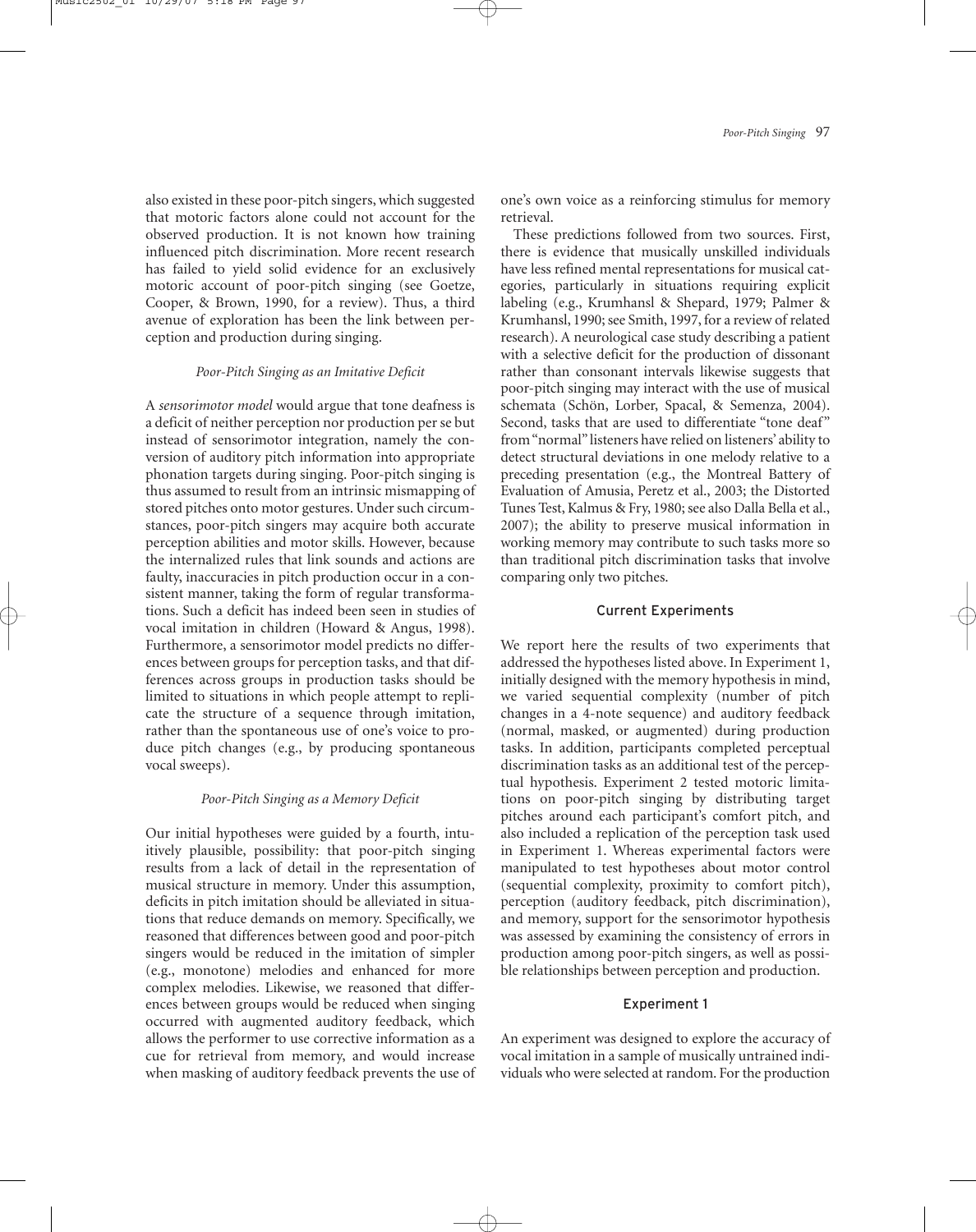also existed in these poor-pitch singers, which suggested that motoric factors alone could not account for the observed production. It is not known how training influenced pitch discrimination. More recent research has failed to yield solid evidence for an exclusively motoric account of poor-pitch singing (see Goetze, Cooper, & Brown, 1990, for a review). Thus, a third avenue of exploration has been the link between perception and production during singing.

# *Poor-Pitch Singing as an Imitative Deficit*

A *sensorimotor model* would argue that tone deafness is a deficit of neither perception nor production per se but instead of sensorimotor integration, namely the conversion of auditory pitch information into appropriate phonation targets during singing. Poor-pitch singing is thus assumed to result from an intrinsic mismapping of stored pitches onto motor gestures. Under such circumstances, poor-pitch singers may acquire both accurate perception abilities and motor skills. However, because the internalized rules that link sounds and actions are faulty, inaccuracies in pitch production occur in a consistent manner, taking the form of regular transformations. Such a deficit has indeed been seen in studies of vocal imitation in children (Howard & Angus, 1998). Furthermore, a sensorimotor model predicts no differences between groups for perception tasks, and that differences across groups in production tasks should be limited to situations in which people attempt to replicate the structure of a sequence through imitation, rather than the spontaneous use of one's voice to produce pitch changes (e.g., by producing spontaneous vocal sweeps).

# *Poor-Pitch Singing as a Memory Deficit*

Our initial hypotheses were guided by a fourth, intuitively plausible, possibility: that poor-pitch singing results from a lack of detail in the representation of musical structure in memory. Under this assumption, deficits in pitch imitation should be alleviated in situations that reduce demands on memory. Specifically, we reasoned that differences between good and poor-pitch singers would be reduced in the imitation of simpler (e.g., monotone) melodies and enhanced for more complex melodies. Likewise, we reasoned that differences between groups would be reduced when singing occurred with augmented auditory feedback, which allows the performer to use corrective information as a cue for retrieval from memory, and would increase when masking of auditory feedback prevents the use of one's own voice as a reinforcing stimulus for memory retrieval.

These predictions followed from two sources. First, there is evidence that musically unskilled individuals have less refined mental representations for musical categories, particularly in situations requiring explicit labeling (e.g., Krumhansl & Shepard, 1979; Palmer & Krumhansl, 1990; see Smith, 1997, for a review of related research). A neurological case study describing a patient with a selective deficit for the production of dissonant rather than consonant intervals likewise suggests that poor-pitch singing may interact with the use of musical schemata (Schön, Lorber, Spacal, & Semenza, 2004). Second, tasks that are used to differentiate "tone deaf" from "normal" listeners have relied on listeners' ability to detect structural deviations in one melody relative to a preceding presentation (e.g., the Montreal Battery of Evaluation of Amusia, Peretz et al., 2003; the Distorted Tunes Test, Kalmus & Fry, 1980; see also Dalla Bella et al., 2007); the ability to preserve musical information in working memory may contribute to such tasks more so than traditional pitch discrimination tasks that involve comparing only two pitches.

### Current Experiments

We report here the results of two experiments that addressed the hypotheses listed above. In Experiment 1, initially designed with the memory hypothesis in mind, we varied sequential complexity (number of pitch changes in a 4-note sequence) and auditory feedback (normal, masked, or augmented) during production tasks. In addition, participants completed perceptual discrimination tasks as an additional test of the perceptual hypothesis. Experiment 2 tested motoric limitations on poor-pitch singing by distributing target pitches around each participant's comfort pitch, and also included a replication of the perception task used in Experiment 1. Whereas experimental factors were manipulated to test hypotheses about motor control (sequential complexity, proximity to comfort pitch), perception (auditory feedback, pitch discrimination), and memory, support for the sensorimotor hypothesis was assessed by examining the consistency of errors in production among poor-pitch singers, as well as possible relationships between perception and production.

# Experiment 1

An experiment was designed to explore the accuracy of vocal imitation in a sample of musically untrained individuals who were selected at random. For the production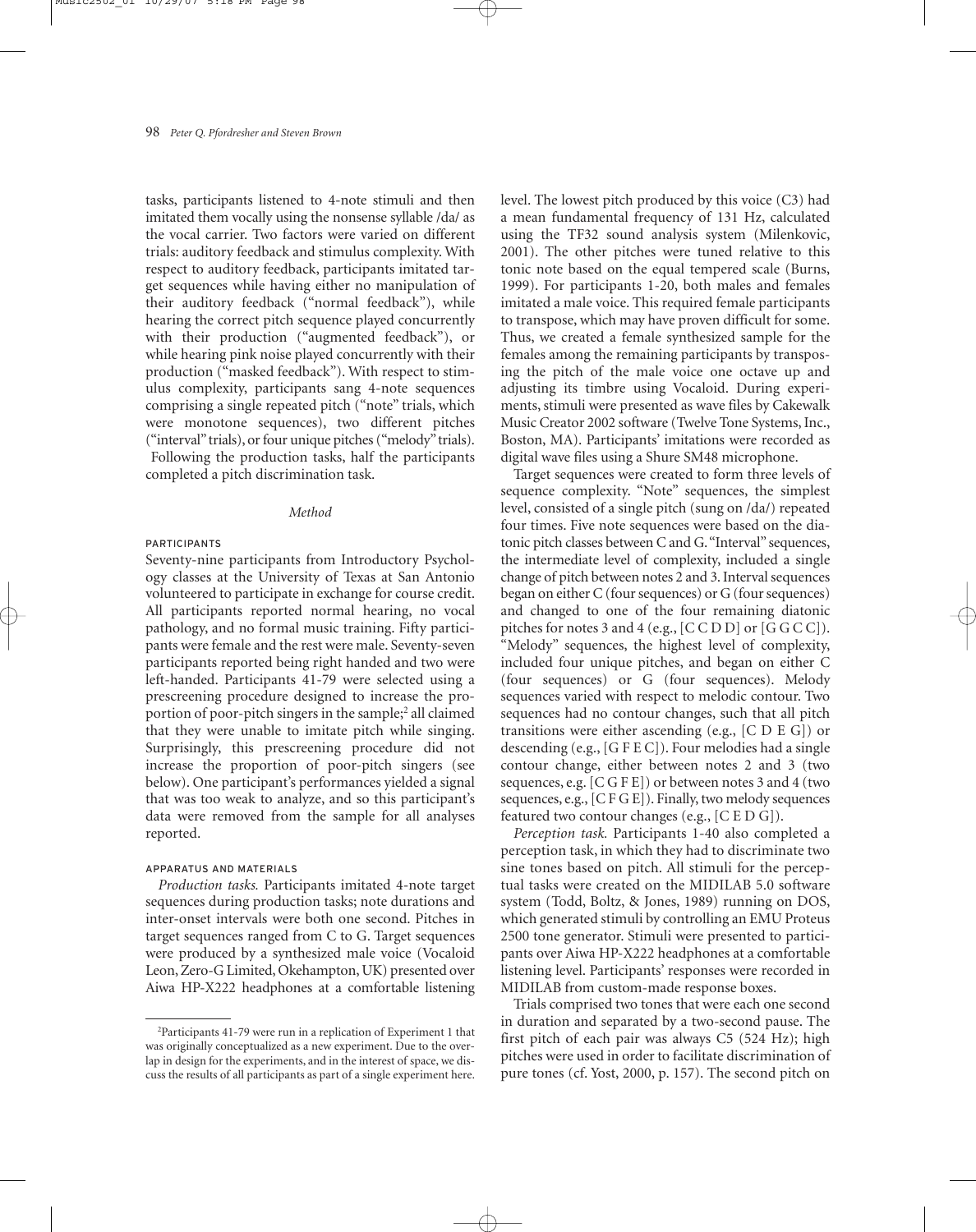tasks, participants listened to 4-note stimuli and then imitated them vocally using the nonsense syllable /da/ as the vocal carrier. Two factors were varied on different trials: auditory feedback and stimulus complexity. With respect to auditory feedback, participants imitated target sequences while having either no manipulation of their auditory feedback ("normal feedback"), while hearing the correct pitch sequence played concurrently with their production ("augmented feedback"), or while hearing pink noise played concurrently with their production ("masked feedback"). With respect to stimulus complexity, participants sang 4-note sequences comprising a single repeated pitch ("note" trials, which were monotone sequences), two different pitches ("interval" trials), or four unique pitches ("melody" trials). Following the production tasks, half the participants completed a pitch discrimination task.

### *Method*

#### PARTICIPANTS

Seventy-nine participants from Introductory Psychology classes at the University of Texas at San Antonio volunteered to participate in exchange for course credit. All participants reported normal hearing, no vocal pathology, and no formal music training. Fifty participants were female and the rest were male. Seventy-seven participants reported being right handed and two were left-handed. Participants 41-79 were selected using a prescreening procedure designed to increase the proportion of poor-pitch singers in the sample;<sup>2</sup> all claimed that they were unable to imitate pitch while singing. Surprisingly, this prescreening procedure did not increase the proportion of poor-pitch singers (see below). One participant's performances yielded a signal that was too weak to analyze, and so this participant's data were removed from the sample for all analyses reported.

# APPARATUS AND MATERIALS

*Production tasks.* Participants imitated 4-note target sequences during production tasks; note durations and inter-onset intervals were both one second. Pitches in target sequences ranged from C to G. Target sequences were produced by a synthesized male voice (Vocaloid Leon, Zero-G Limited, Okehampton, UK) presented over Aiwa HP-X222 headphones at a comfortable listening level. The lowest pitch produced by this voice (C3) had a mean fundamental frequency of 131 Hz, calculated using the TF32 sound analysis system (Milenkovic, 2001). The other pitches were tuned relative to this tonic note based on the equal tempered scale (Burns, 1999). For participants 1-20, both males and females imitated a male voice. This required female participants to transpose, which may have proven difficult for some. Thus, we created a female synthesized sample for the females among the remaining participants by transposing the pitch of the male voice one octave up and adjusting its timbre using Vocaloid. During experiments, stimuli were presented as wave files by Cakewalk Music Creator 2002 software (Twelve Tone Systems, Inc., Boston, MA). Participants' imitations were recorded as digital wave files using a Shure SM48 microphone.

Target sequences were created to form three levels of sequence complexity. "Note" sequences, the simplest level, consisted of a single pitch (sung on /da/) repeated four times. Five note sequences were based on the diatonic pitch classes between C and G."Interval" sequences, the intermediate level of complexity, included a single change of pitch between notes 2 and 3. Interval sequences began on either C (four sequences) or G (four sequences) and changed to one of the four remaining diatonic pitches for notes 3 and 4 (e.g., [C C D D] or [G G C C]). "Melody" sequences, the highest level of complexity, included four unique pitches, and began on either C (four sequences) or G (four sequences). Melody sequences varied with respect to melodic contour. Two sequences had no contour changes, such that all pitch transitions were either ascending (e.g., [C D E G]) or descending (e.g., [G F E C]). Four melodies had a single contour change, either between notes 2 and 3 (two sequences, e.g. [C G F E]) or between notes 3 and 4 (two sequences, e.g., [C F G E]). Finally, two melody sequences featured two contour changes (e.g., [C E D G]).

*Perception task.* Participants 1-40 also completed a perception task, in which they had to discriminate two sine tones based on pitch. All stimuli for the perceptual tasks were created on the MIDILAB 5.0 software system (Todd, Boltz, & Jones, 1989) running on DOS, which generated stimuli by controlling an EMU Proteus 2500 tone generator. Stimuli were presented to participants over Aiwa HP-X222 headphones at a comfortable listening level. Participants' responses were recorded in MIDILAB from custom-made response boxes.

Trials comprised two tones that were each one second in duration and separated by a two-second pause. The first pitch of each pair was always C5 (524 Hz); high pitches were used in order to facilitate discrimination of pure tones (cf. Yost, 2000, p. 157). The second pitch on

<sup>2</sup> Participants 41-79 were run in a replication of Experiment 1 that was originally conceptualized as a new experiment. Due to the overlap in design for the experiments, and in the interest of space, we discuss the results of all participants as part of a single experiment here.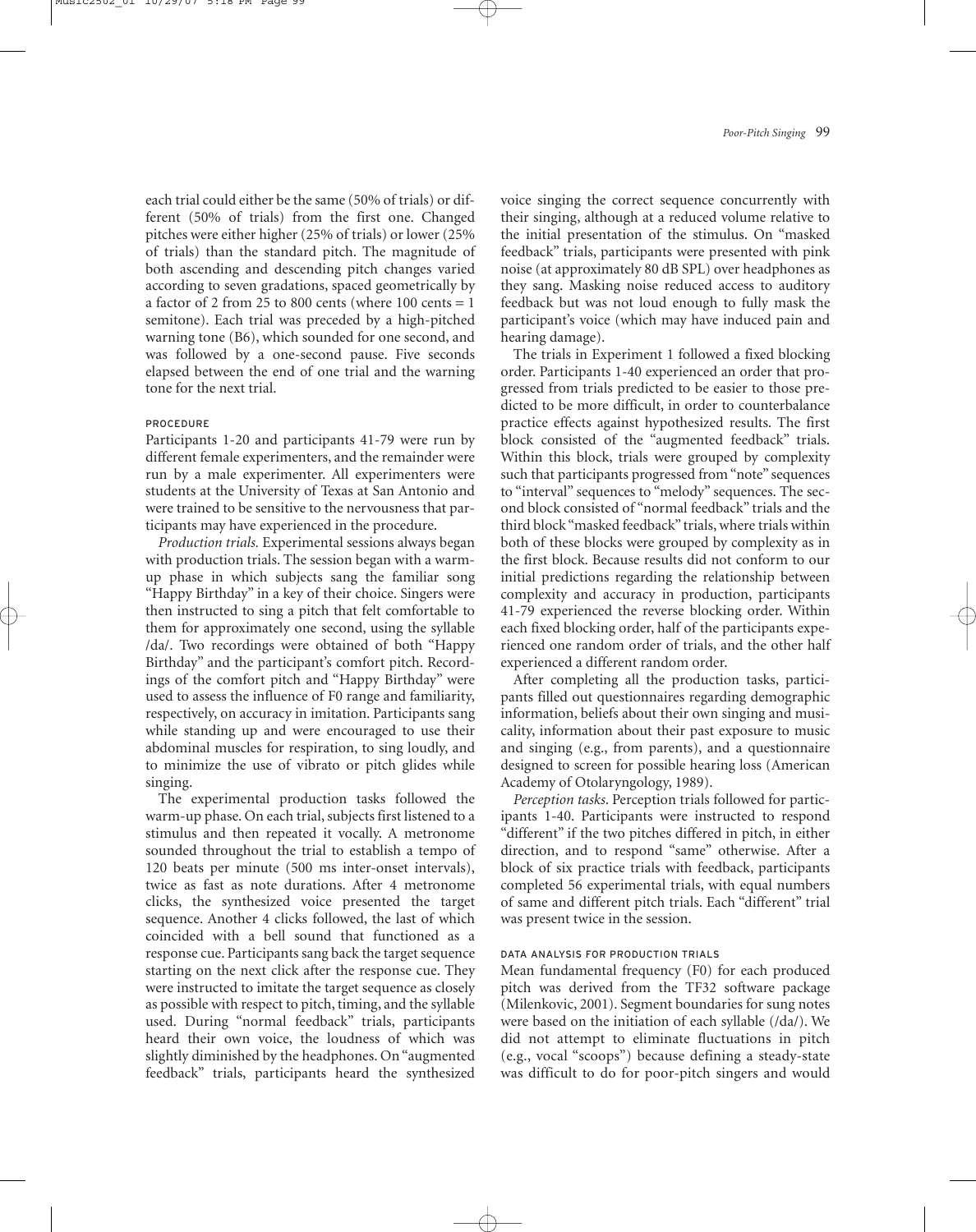each trial could either be the same (50% of trials) or different (50% of trials) from the first one. Changed pitches were either higher (25% of trials) or lower (25% of trials) than the standard pitch. The magnitude of both ascending and descending pitch changes varied according to seven gradations, spaced geometrically by a factor of 2 from 25 to 800 cents (where  $100$  cents = 1 semitone). Each trial was preceded by a high-pitched warning tone (B6), which sounded for one second, and was followed by a one-second pause. Five seconds elapsed between the end of one trial and the warning tone for the next trial.

### PROCEDURE

Participants 1-20 and participants 41-79 were run by different female experimenters, and the remainder were run by a male experimenter. All experimenters were students at the University of Texas at San Antonio and were trained to be sensitive to the nervousness that participants may have experienced in the procedure.

*Production trials.* Experimental sessions always began with production trials. The session began with a warmup phase in which subjects sang the familiar song "Happy Birthday" in a key of their choice. Singers were then instructed to sing a pitch that felt comfortable to them for approximately one second, using the syllable /da/. Two recordings were obtained of both "Happy Birthday" and the participant's comfort pitch. Recordings of the comfort pitch and "Happy Birthday" were used to assess the influence of F0 range and familiarity, respectively, on accuracy in imitation. Participants sang while standing up and were encouraged to use their abdominal muscles for respiration, to sing loudly, and to minimize the use of vibrato or pitch glides while singing.

The experimental production tasks followed the warm-up phase. On each trial, subjects first listened to a stimulus and then repeated it vocally. A metronome sounded throughout the trial to establish a tempo of 120 beats per minute (500 ms inter-onset intervals), twice as fast as note durations. After 4 metronome clicks, the synthesized voice presented the target sequence. Another 4 clicks followed, the last of which coincided with a bell sound that functioned as a response cue. Participants sang back the target sequence starting on the next click after the response cue. They were instructed to imitate the target sequence as closely as possible with respect to pitch, timing, and the syllable used. During "normal feedback" trials, participants heard their own voice, the loudness of which was slightly diminished by the headphones. On "augmented feedback" trials, participants heard the synthesized

voice singing the correct sequence concurrently with their singing, although at a reduced volume relative to the initial presentation of the stimulus. On "masked feedback" trials, participants were presented with pink noise (at approximately 80 dB SPL) over headphones as they sang. Masking noise reduced access to auditory feedback but was not loud enough to fully mask the participant's voice (which may have induced pain and hearing damage).

The trials in Experiment 1 followed a fixed blocking order. Participants 1-40 experienced an order that progressed from trials predicted to be easier to those predicted to be more difficult, in order to counterbalance practice effects against hypothesized results. The first block consisted of the "augmented feedback" trials. Within this block, trials were grouped by complexity such that participants progressed from "note" sequences to "interval" sequences to "melody" sequences. The second block consisted of "normal feedback" trials and the third block "masked feedback" trials, where trials within both of these blocks were grouped by complexity as in the first block. Because results did not conform to our initial predictions regarding the relationship between complexity and accuracy in production, participants 41-79 experienced the reverse blocking order. Within each fixed blocking order, half of the participants experienced one random order of trials, and the other half experienced a different random order.

After completing all the production tasks, participants filled out questionnaires regarding demographic information, beliefs about their own singing and musicality, information about their past exposure to music and singing (e.g., from parents), and a questionnaire designed to screen for possible hearing loss (American Academy of Otolaryngology, 1989).

*Perception tasks*. Perception trials followed for participants 1-40. Participants were instructed to respond "different" if the two pitches differed in pitch, in either direction, and to respond "same" otherwise. After a block of six practice trials with feedback, participants completed 56 experimental trials, with equal numbers of same and different pitch trials. Each "different" trial was present twice in the session.

### DATA ANALYSIS FOR PRODUCTION TRIALS

Mean fundamental frequency (F0) for each produced pitch was derived from the TF32 software package (Milenkovic, 2001). Segment boundaries for sung notes were based on the initiation of each syllable (/da/). We did not attempt to eliminate fluctuations in pitch (e.g., vocal "scoops") because defining a steady-state was difficult to do for poor-pitch singers and would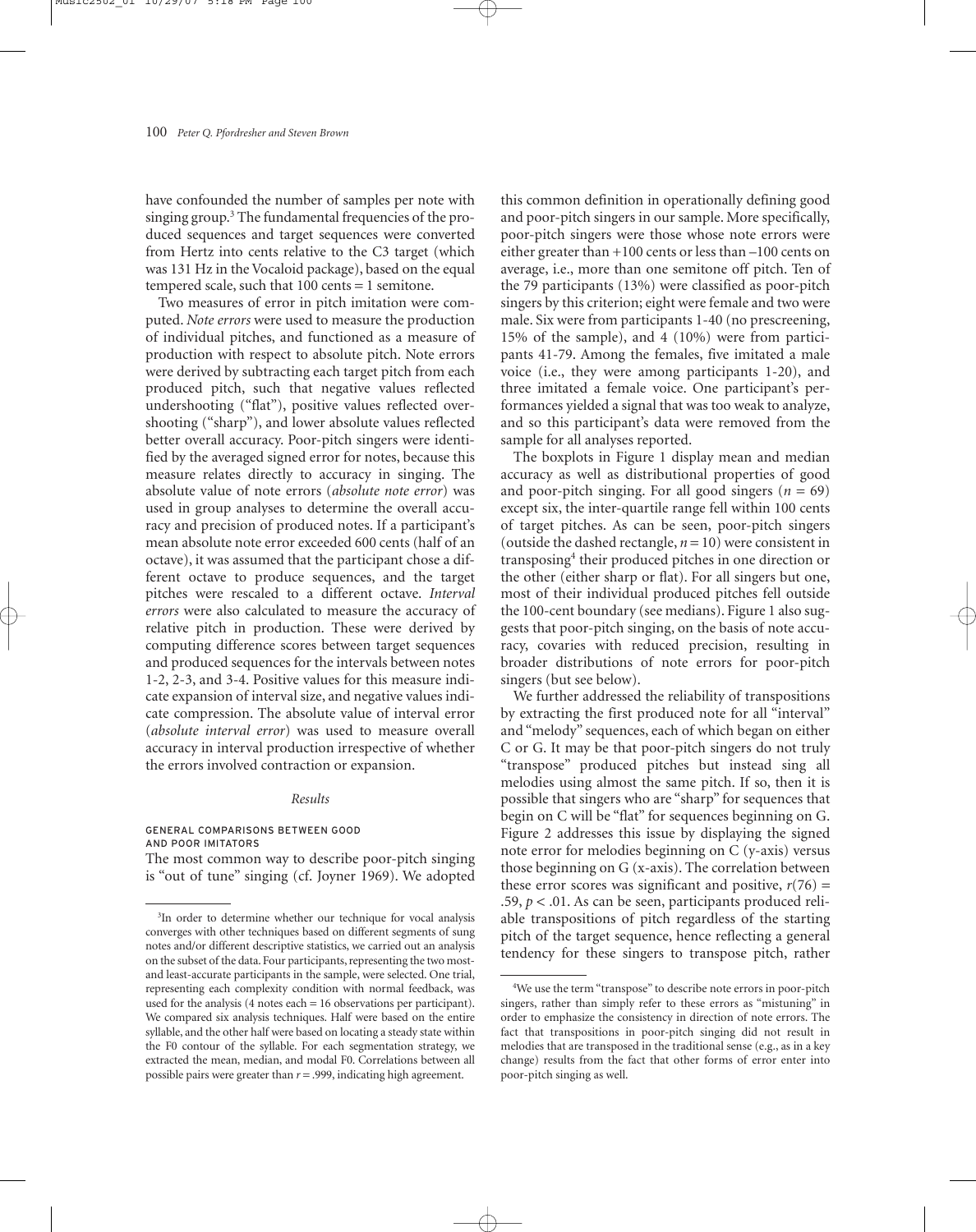have confounded the number of samples per note with singing group.<sup>3</sup> The fundamental frequencies of the produced sequences and target sequences were converted from Hertz into cents relative to the C3 target (which was 131 Hz in the Vocaloid package), based on the equal tempered scale, such that 100 cents = 1 semitone.

Two measures of error in pitch imitation were computed. *Note errors* were used to measure the production of individual pitches, and functioned as a measure of production with respect to absolute pitch. Note errors were derived by subtracting each target pitch from each produced pitch, such that negative values reflected undershooting ("flat"), positive values reflected overshooting ("sharp"), and lower absolute values reflected better overall accuracy. Poor-pitch singers were identified by the averaged signed error for notes, because this measure relates directly to accuracy in singing. The absolute value of note errors (*absolute note error*) was used in group analyses to determine the overall accuracy and precision of produced notes. If a participant's mean absolute note error exceeded 600 cents (half of an octave), it was assumed that the participant chose a different octave to produce sequences, and the target pitches were rescaled to a different octave. *Interval errors* were also calculated to measure the accuracy of relative pitch in production. These were derived by computing difference scores between target sequences and produced sequences for the intervals between notes 1-2, 2-3, and 3-4. Positive values for this measure indicate expansion of interval size, and negative values indicate compression. The absolute value of interval error (*absolute interval error*) was used to measure overall accuracy in interval production irrespective of whether the errors involved contraction or expansion.

#### *Results*

### GENERAL COMPARISONS BETWEEN GOOD AND POOR IMITATORS

The most common way to describe poor-pitch singing is "out of tune" singing (cf. Joyner 1969). We adopted

this common definition in operationally defining good and poor-pitch singers in our sample. More specifically, poor-pitch singers were those whose note errors were either greater than +100 cents or less than –100 cents on average, i.e., more than one semitone off pitch. Ten of the 79 participants (13%) were classified as poor-pitch singers by this criterion; eight were female and two were male. Six were from participants 1-40 (no prescreening, 15% of the sample), and 4 (10%) were from participants 41-79. Among the females, five imitated a male voice (i.e., they were among participants 1-20), and three imitated a female voice. One participant's performances yielded a signal that was too weak to analyze, and so this participant's data were removed from the sample for all analyses reported.

The boxplots in Figure 1 display mean and median accuracy as well as distributional properties of good and poor-pitch singing. For all good singers  $(n = 69)$ except six, the inter-quartile range fell within 100 cents of target pitches. As can be seen, poor-pitch singers (outside the dashed rectangle, *n* = 10) were consistent in transposing4 their produced pitches in one direction or the other (either sharp or flat). For all singers but one, most of their individual produced pitches fell outside the 100-cent boundary (see medians). Figure 1 also suggests that poor-pitch singing, on the basis of note accuracy, covaries with reduced precision, resulting in broader distributions of note errors for poor-pitch singers (but see below).

We further addressed the reliability of transpositions by extracting the first produced note for all "interval" and "melody" sequences, each of which began on either C or G. It may be that poor-pitch singers do not truly "transpose" produced pitches but instead sing all melodies using almost the same pitch. If so, then it is possible that singers who are "sharp" for sequences that begin on C will be "flat" for sequences beginning on G. Figure 2 addresses this issue by displaying the signed note error for melodies beginning on C (y-axis) versus those beginning on G (x-axis). The correlation between these error scores was significant and positive,  $r(76)$  = .59, *p* < .01. As can be seen, participants produced reliable transpositions of pitch regardless of the starting pitch of the target sequence, hence reflecting a general tendency for these singers to transpose pitch, rather

<sup>&</sup>lt;sup>3</sup>In order to determine whether our technique for vocal analysis converges with other techniques based on different segments of sung notes and/or different descriptive statistics, we carried out an analysis on the subset of the data. Four participants, representing the two mostand least-accurate participants in the sample, were selected. One trial, representing each complexity condition with normal feedback, was used for the analysis (4 notes each = 16 observations per participant). We compared six analysis techniques. Half were based on the entire syllable, and the other half were based on locating a steady state within the F0 contour of the syllable. For each segmentation strategy, we extracted the mean, median, and modal F0. Correlations between all possible pairs were greater than *r* = .999, indicating high agreement.

<sup>&</sup>lt;sup>4</sup>We use the term "transpose" to describe note errors in poor-pitch singers, rather than simply refer to these errors as "mistuning" in order to emphasize the consistency in direction of note errors. The fact that transpositions in poor-pitch singing did not result in melodies that are transposed in the traditional sense (e.g., as in a key change) results from the fact that other forms of error enter into poor-pitch singing as well.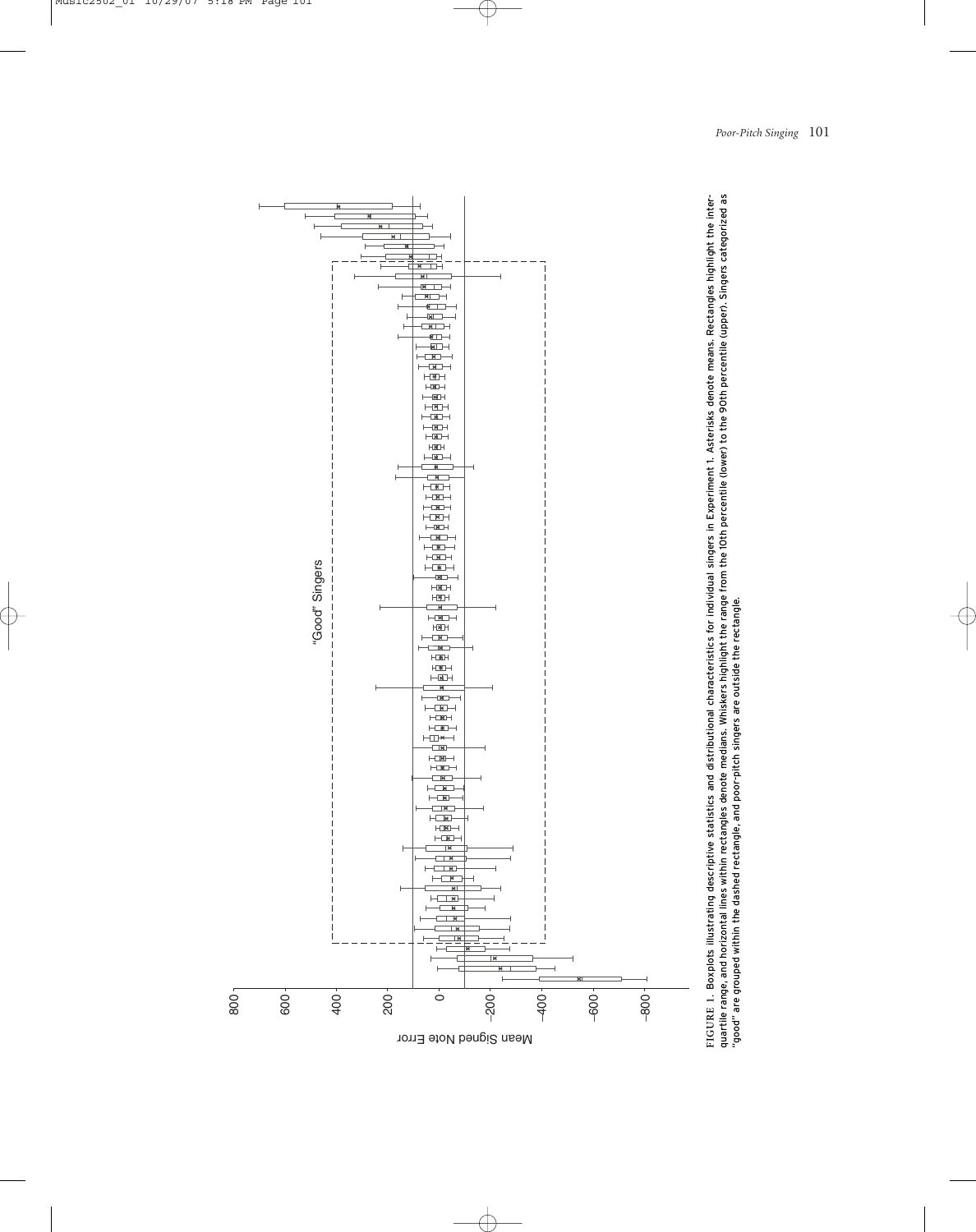

FIGURE 1. Boxplots illustrating descriptive statistics and distributional characteristics for individual singers in Experiment 1. Asterisks denote means. Rectangles highlight the interg<br>quartile range, and horizontal lines **FIGURE 1.** Boxplots illustrating descriptive statistics and distributional characteristics for individual singers in Experiment 1. Asterisks denote means. Rectangles highlight the interquartile range, and horizontal lines within rectangles denote medians. Whiskers highlight the range from the 10th percentile (lower) to the 90th percentile (upper). Singers categorized as "good" are grouped within the dashed rectangle, and poor-pitch singers are outside the rectangle.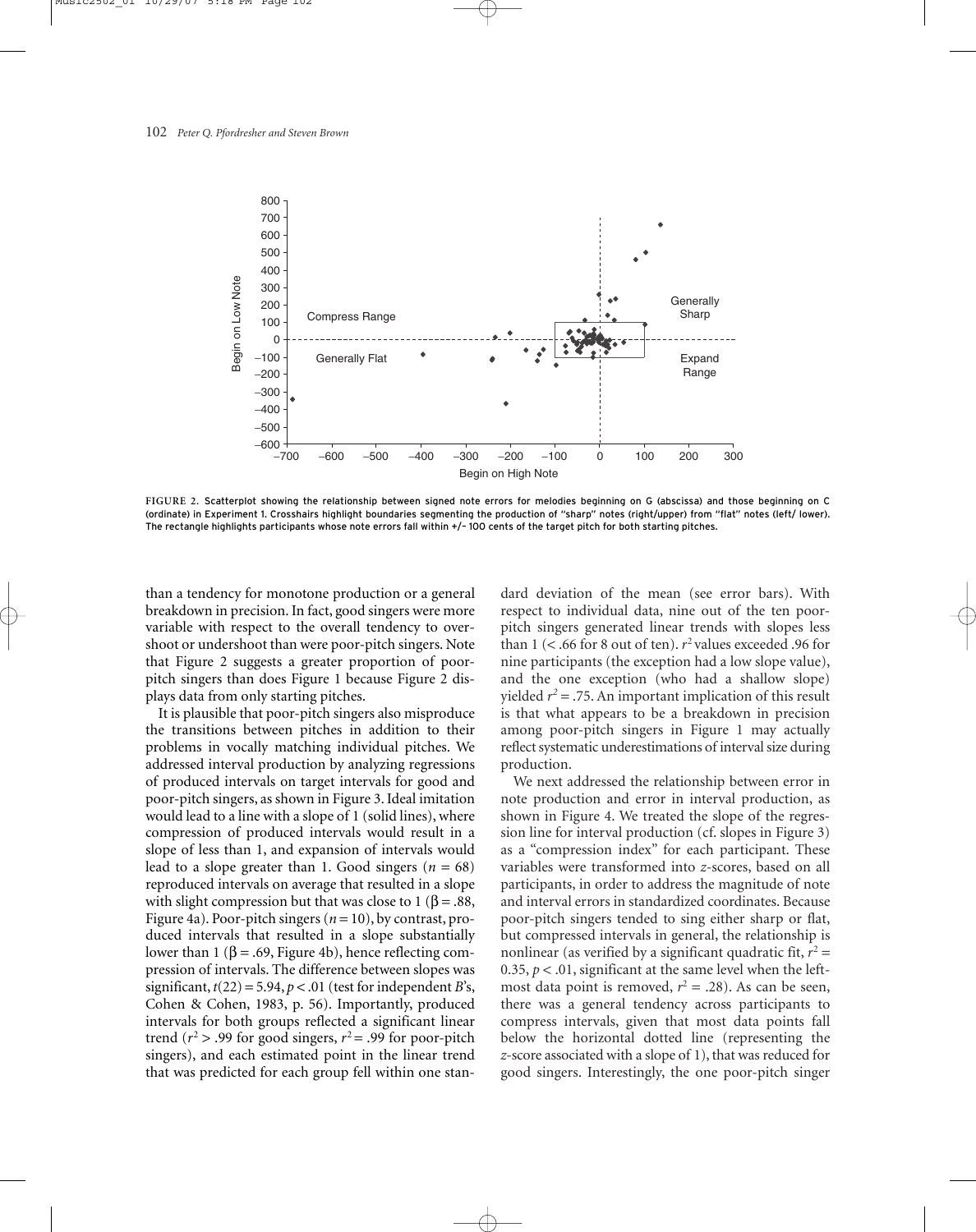

**FIGURE 2.** Scatterplot showing the relationship between signed note errors for melodies beginning on G (abscissa) and those beginning on C (ordinate) in Experiment 1. Crosshairs highlight boundaries segmenting the production of "sharp" notes (right/upper) from "flat" notes (left/ lower). The rectangle highlights participants whose note errors fall within +/– 100 cents of the target pitch for both starting pitches.

than a tendency for monotone production or a general breakdown in precision. In fact, good singers were more variable with respect to the overall tendency to overshoot or undershoot than were poor-pitch singers. Note that Figure 2 suggests a greater proportion of poorpitch singers than does Figure 1 because Figure 2 displays data from only starting pitches.

It is plausible that poor-pitch singers also misproduce the transitions between pitches in addition to their problems in vocally matching individual pitches. We addressed interval production by analyzing regressions of produced intervals on target intervals for good and poor-pitch singers, as shown in Figure 3. Ideal imitation would lead to a line with a slope of 1 (solid lines), where compression of produced intervals would result in a slope of less than 1, and expansion of intervals would lead to a slope greater than 1. Good singers  $(n = 68)$ reproduced intervals on average that resulted in a slope with slight compression but that was close to 1 ( $\beta$  = .88, Figure 4a). Poor-pitch singers (*n* = 10), by contrast, produced intervals that resulted in a slope substantially lower than 1 ( $\beta$  = .69, Figure 4b), hence reflecting compression of intervals. The difference between slopes was significant,  $t(22) = 5.94$ ,  $p < .01$  (test for independent *B*'s, Cohen & Cohen, 1983, p. 56). Importantly, produced intervals for both groups reflected a significant linear trend ( $r^2$  > .99 for good singers,  $r^2$  = .99 for poor-pitch singers), and each estimated point in the linear trend that was predicted for each group fell within one standard deviation of the mean (see error bars). With respect to individual data, nine out of the ten poorpitch singers generated linear trends with slopes less than  $1$  (< .66 for 8 out of ten).  $r^2$  values exceeded .96 for nine participants (the exception had a low slope value), and the one exception (who had a shallow slope) yielded  $r^2$  = .75. An important implication of this result is that what appears to be a breakdown in precision among poor-pitch singers in Figure 1 may actually reflect systematic underestimations of interval size during production.

We next addressed the relationship between error in note production and error in interval production, as shown in Figure 4. We treated the slope of the regression line for interval production (cf. slopes in Figure 3) as a "compression index" for each participant. These variables were transformed into *z*-scores, based on all participants, in order to address the magnitude of note and interval errors in standardized coordinates. Because poor-pitch singers tended to sing either sharp or flat, but compressed intervals in general, the relationship is nonlinear (as verified by a significant quadratic fit,  $r^2$  = 0.35,  $p < 0.01$ , significant at the same level when the leftmost data point is removed,  $r^2 = .28$ ). As can be seen, there was a general tendency across participants to compress intervals, given that most data points fall below the horizontal dotted line (representing the *z*-score associated with a slope of 1), that was reduced for good singers. Interestingly, the one poor-pitch singer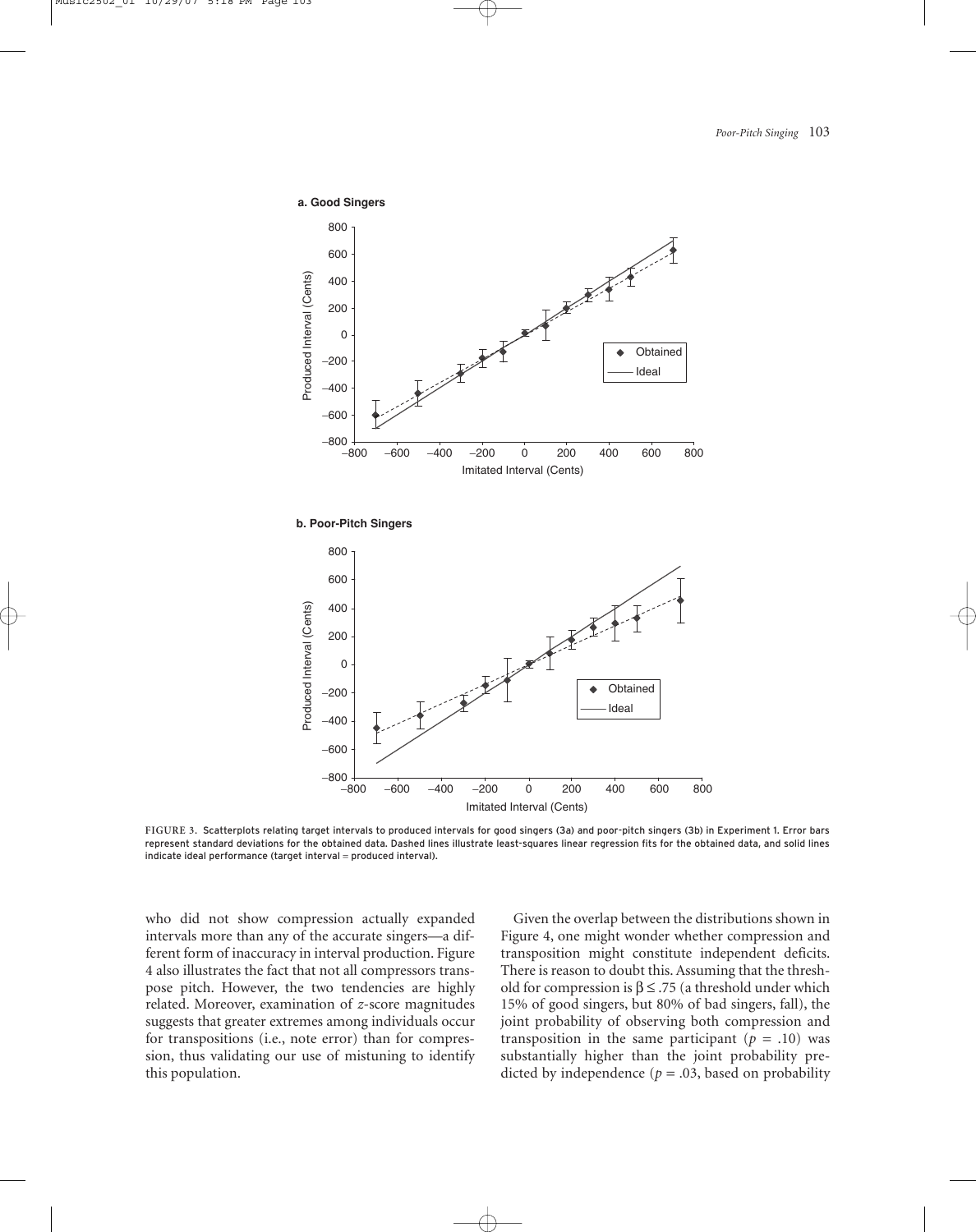

**b. Poor-Pitch Singers**



**FIGURE 3.** Scatterplots relating target intervals to produced intervals for good singers (3a) and poor-pitch singers (3b) in Experiment 1. Error bars represent standard deviations for the obtained data. Dashed lines illustrate least-squares linear regression fits for the obtained data, and solid lines indicate ideal performance (target interval = produced interval).

who did not show compression actually expanded intervals more than any of the accurate singers—a different form of inaccuracy in interval production. Figure 4 also illustrates the fact that not all compressors transpose pitch. However, the two tendencies are highly related. Moreover, examination of *z*-score magnitudes suggests that greater extremes among individuals occur for transpositions (i.e., note error) than for compression, thus validating our use of mistuning to identify this population.

Given the overlap between the distributions shown in Figure 4, one might wonder whether compression and transposition might constitute independent deficits. There is reason to doubt this. Assuming that the threshold for compression is  $\beta \leq .75$  (a threshold under which 15% of good singers, but 80% of bad singers, fall), the joint probability of observing both compression and transposition in the same participant  $(p = .10)$  was substantially higher than the joint probability predicted by independence ( $p = .03$ , based on probability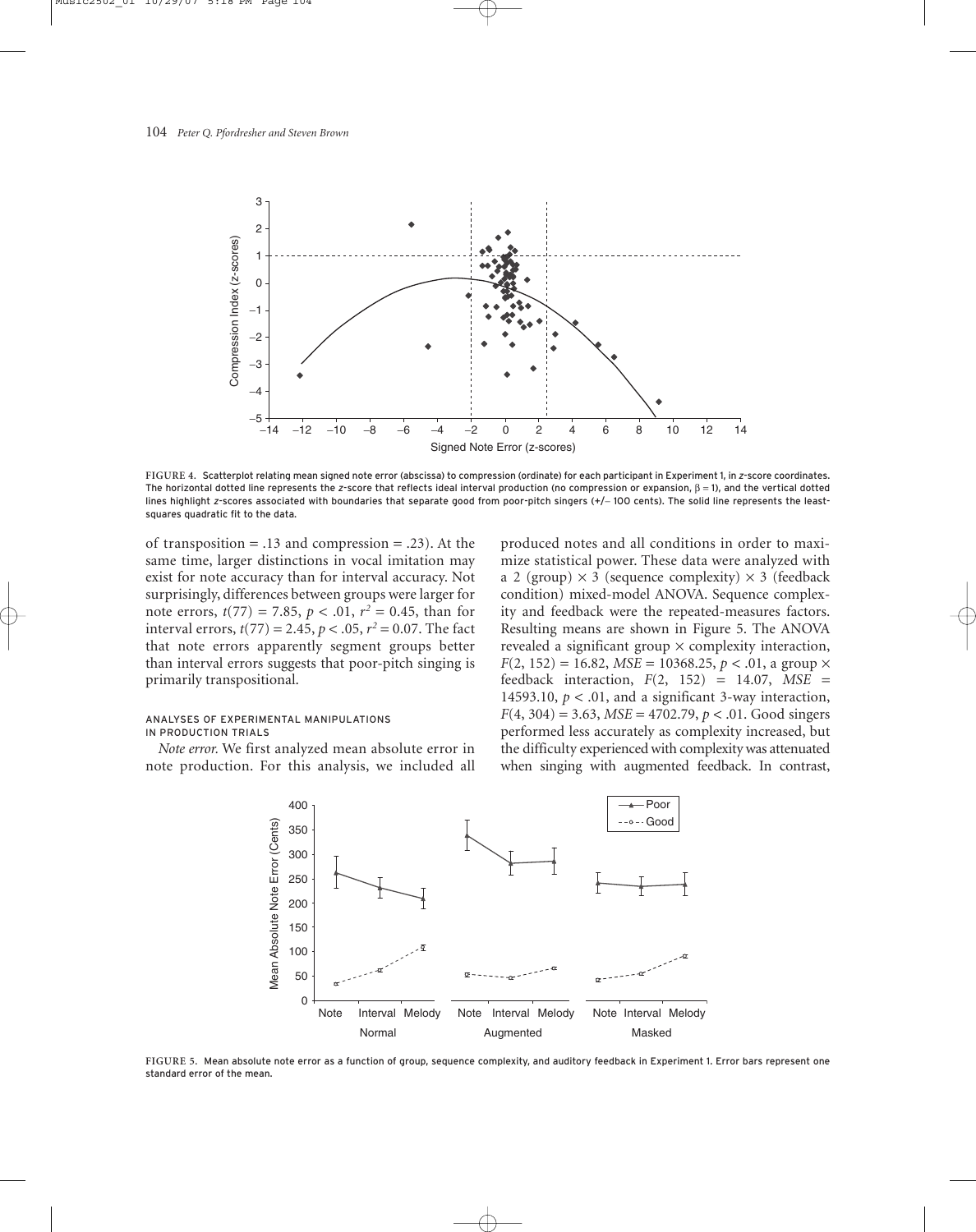

**FIGURE 4.** Scatterplot relating mean signed note error (abscissa) to compression (ordinate) for each participant in Experiment 1, in *z*-score coordinates. The horizontal dotted line represents the *z*-score that reflects ideal interval production (no compression or expansion,  $\beta = 1$ ), and the vertical dotted lines highlight *z*-scores associated with boundaries that separate good from poor-pitch singers (+/− 100 cents). The solid line represents the leastsquares quadratic fit to the data.

of transposition  $= .13$  and compression  $= .23$ ). At the same time, larger distinctions in vocal imitation may exist for note accuracy than for interval accuracy. Not surprisingly, differences between groups were larger for note errors,  $t(77) = 7.85$ ,  $p < .01$ ,  $r^2 = 0.45$ , than for interval errors,  $t(77) = 2.45$ ,  $p < .05$ ,  $r^2 = 0.07$ . The fact that note errors apparently segment groups better than interval errors suggests that poor-pitch singing is primarily transpositional.

### ANALYSES OF EXPERIMENTAL MANIPULATIONS IN PRODUCTION TRIALS

*Note error.* We first analyzed mean absolute error in note production. For this analysis, we included all produced notes and all conditions in order to maximize statistical power. These data were analyzed with a 2 (group)  $\times$  3 (sequence complexity)  $\times$  3 (feedback condition) mixed-model ANOVA. Sequence complexity and feedback were the repeated-measures factors. Resulting means are shown in Figure 5. The ANOVA revealed a significant group  $\times$  complexity interaction,  $F(2, 152) = 16.82$ ,  $MSE = 10368.25$ ,  $p < .01$ , a group  $\times$ feedback interaction, *F*(2, 152) = 14.07, *MSE* = 14593.10,  $p < .01$ , and a significant 3-way interaction,  $F(4, 304) = 3.63$ ,  $MSE = 4702.79$ ,  $p < .01$ . Good singers performed less accurately as complexity increased, but the difficulty experienced with complexity was attenuated when singing with augmented feedback. In contrast,



**FIGURE 5.** Mean absolute note error as a function of group, sequence complexity, and auditory feedback in Experiment 1. Error bars represent one standard error of the mean.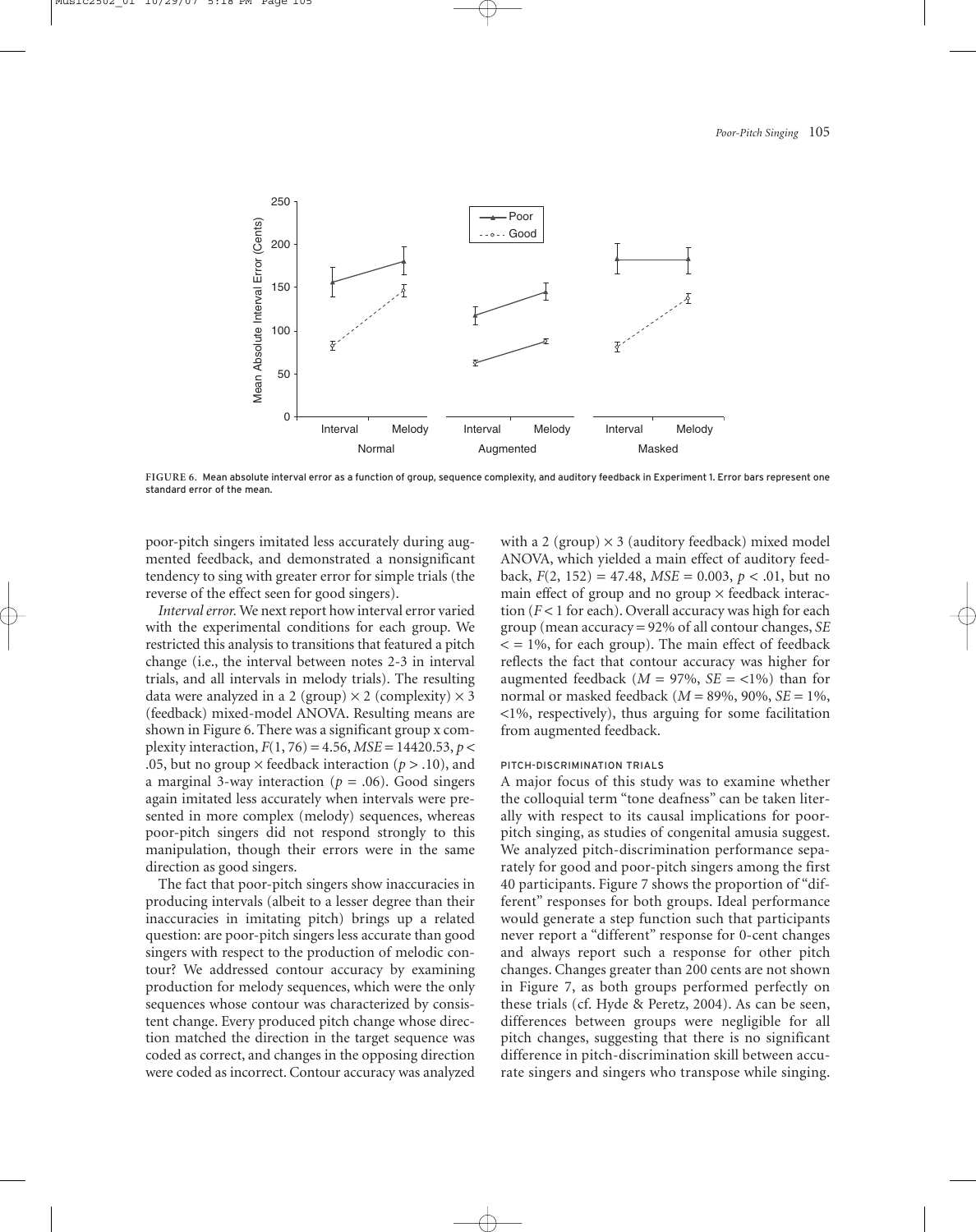

**FIGURE 6.** Mean absolute interval error as a function of group, sequence complexity, and auditory feedback in Experiment 1. Error bars represent one standard error of the mean.

poor-pitch singers imitated less accurately during augmented feedback, and demonstrated a nonsignificant tendency to sing with greater error for simple trials (the reverse of the effect seen for good singers).

*Interval error.*We next report how interval error varied with the experimental conditions for each group. We restricted this analysis to transitions that featured a pitch change (i.e., the interval between notes 2-3 in interval trials, and all intervals in melody trials). The resulting data were analyzed in a 2 (group)  $\times$  2 (complexity)  $\times$  3 (feedback) mixed-model ANOVA. Resulting means are shown in Figure 6. There was a significant group x complexity interaction,  $F(1, 76) = 4.56$ ,  $MSE = 14420.53$ ,  $p <$ .05, but no group  $\times$  feedback interaction ( $p > .10$ ), and a marginal 3-way interaction  $(p = .06)$ . Good singers again imitated less accurately when intervals were presented in more complex (melody) sequences, whereas poor-pitch singers did not respond strongly to this manipulation, though their errors were in the same direction as good singers.

The fact that poor-pitch singers show inaccuracies in producing intervals (albeit to a lesser degree than their inaccuracies in imitating pitch) brings up a related question: are poor-pitch singers less accurate than good singers with respect to the production of melodic contour? We addressed contour accuracy by examining production for melody sequences, which were the only sequences whose contour was characterized by consistent change. Every produced pitch change whose direction matched the direction in the target sequence was coded as correct, and changes in the opposing direction were coded as incorrect. Contour accuracy was analyzed

with a 2 (group)  $\times$  3 (auditory feedback) mixed model ANOVA, which yielded a main effect of auditory feedback,  $F(2, 152) = 47.48$ ,  $MSE = 0.003$ ,  $p < .01$ , but no main effect of group and no group  $\times$  feedback interaction (*F* < 1 for each). Overall accuracy was high for each group (mean accuracy = 92% of all contour changes, *SE*  $\epsilon$  = 1%, for each group). The main effect of feedback reflects the fact that contour accuracy was higher for augmented feedback  $(M = 97\%, SE = <1\%)$  than for normal or masked feedback (*M* = 89%, 90%, *SE* = 1%, <1%, respectively), thus arguing for some facilitation from augmented feedback.

# PITCH-DISCRIMINATION TRIALS

A major focus of this study was to examine whether the colloquial term "tone deafness" can be taken literally with respect to its causal implications for poorpitch singing, as studies of congenital amusia suggest. We analyzed pitch-discrimination performance separately for good and poor-pitch singers among the first 40 participants. Figure 7 shows the proportion of "different" responses for both groups. Ideal performance would generate a step function such that participants never report a "different" response for 0-cent changes and always report such a response for other pitch changes. Changes greater than 200 cents are not shown in Figure 7, as both groups performed perfectly on these trials (cf. Hyde & Peretz, 2004). As can be seen, differences between groups were negligible for all pitch changes, suggesting that there is no significant difference in pitch-discrimination skill between accurate singers and singers who transpose while singing.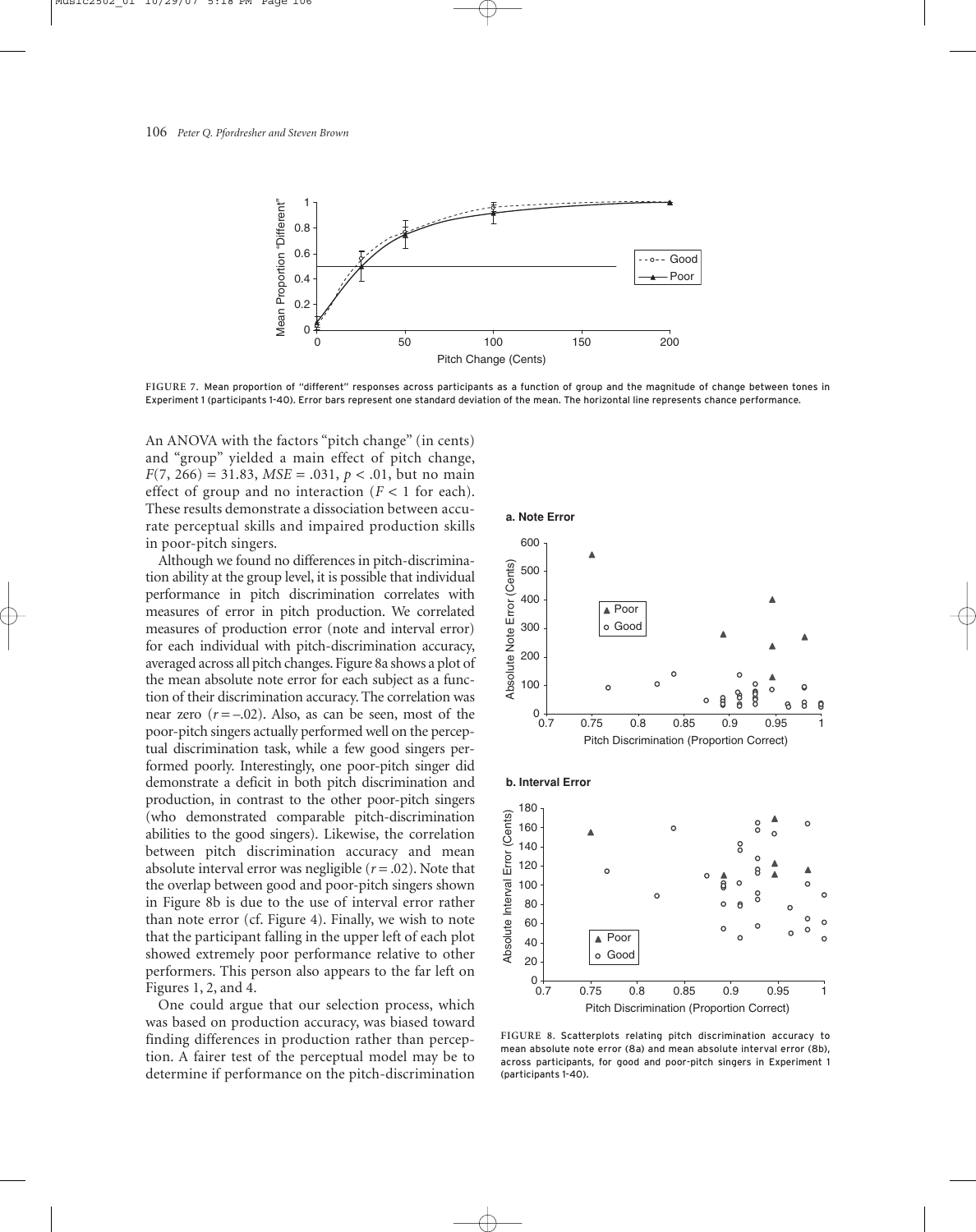

**FIGURE 7.** Mean proportion of "different" responses across participants as a function of group and the magnitude of change between tones in Experiment 1 (participants 1-40). Error bars represent one standard deviation of the mean. The horizontal line represents chance performance.

An ANOVA with the factors "pitch change" (in cents) and "group" yielded a main effect of pitch change,  $F(7, 266) = 31.83$ ,  $MSE = .031$ ,  $p < .01$ , but no main effect of group and no interaction  $(F < 1$  for each). These results demonstrate a dissociation between accurate perceptual skills and impaired production skills in poor-pitch singers.

Although we found no differences in pitch-discrimination ability at the group level, it is possible that individual performance in pitch discrimination correlates with measures of error in pitch production. We correlated measures of production error (note and interval error) for each individual with pitch-discrimination accuracy, averaged across all pitch changes. Figure 8a shows a plot of the mean absolute note error for each subject as a function of their discrimination accuracy. The correlation was near zero  $(r = -0.02)$ . Also, as can be seen, most of the poor-pitch singers actually performed well on the perceptual discrimination task, while a few good singers performed poorly. Interestingly, one poor-pitch singer did demonstrate a deficit in both pitch discrimination and production, in contrast to the other poor-pitch singers (who demonstrated comparable pitch-discrimination abilities to the good singers). Likewise, the correlation between pitch discrimination accuracy and mean absolute interval error was negligible  $(r = .02)$ . Note that the overlap between good and poor-pitch singers shown in Figure 8b is due to the use of interval error rather than note error (cf. Figure 4). Finally, we wish to note that the participant falling in the upper left of each plot showed extremely poor performance relative to other performers. This person also appears to the far left on Figures 1, 2, and 4.

One could argue that our selection process, which was based on production accuracy, was biased toward finding differences in production rather than perception. A fairer test of the perceptual model may be to determine if performance on the pitch-discrimination



**FIGURE 8.** Scatterplots relating pitch discrimination accuracy to mean absolute note error (8a) and mean absolute interval error (8b), across participants, for good and poor-pitch singers in Experiment 1 (participants 1-40).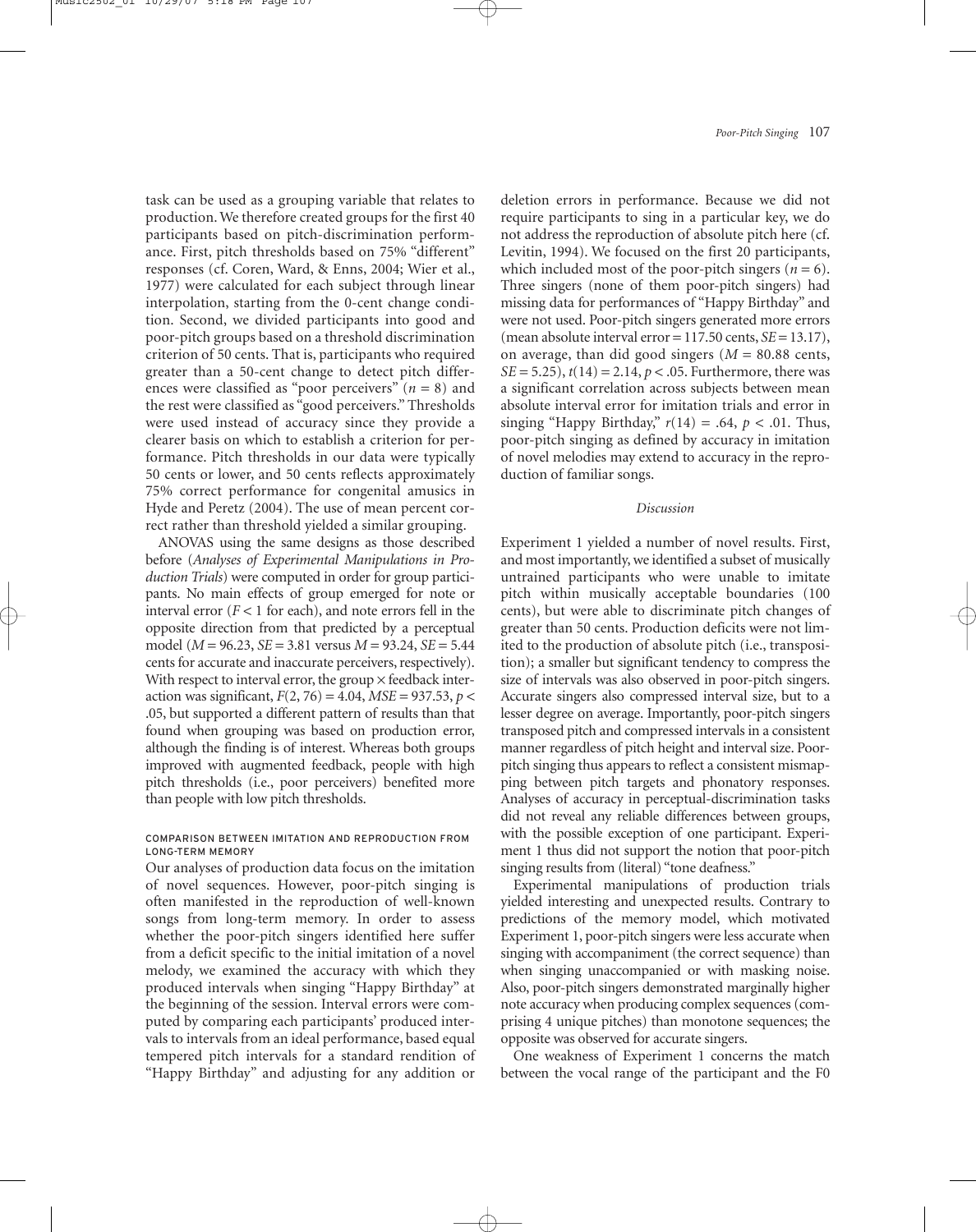task can be used as a grouping variable that relates to production. We therefore created groups for the first 40 participants based on pitch-discrimination performance. First, pitch thresholds based on 75% "different" responses (cf. Coren, Ward, & Enns, 2004; Wier et al., 1977) were calculated for each subject through linear interpolation, starting from the 0-cent change condition. Second, we divided participants into good and poor-pitch groups based on a threshold discrimination criterion of 50 cents. That is, participants who required greater than a 50-cent change to detect pitch differences were classified as "poor perceivers" (*n* = 8) and the rest were classified as "good perceivers." Thresholds were used instead of accuracy since they provide a clearer basis on which to establish a criterion for performance. Pitch thresholds in our data were typically 50 cents or lower, and 50 cents reflects approximately 75% correct performance for congenital amusics in Hyde and Peretz (2004). The use of mean percent correct rather than threshold yielded a similar grouping.

ANOVAS using the same designs as those described before (*Analyses of Experimental Manipulations in Production Trials*) were computed in order for group participants. No main effects of group emerged for note or interval error  $(F < 1$  for each), and note errors fell in the opposite direction from that predicted by a perceptual model (*M* = 96.23, *SE* = 3.81 versus *M* = 93.24, *SE* = 5.44 cents for accurate and inaccurate perceivers, respectively). With respect to interval error, the group  $\times$  feedback interaction was significant, *F*(2, 76) = 4.04, *MSE* = 937.53, *p* < .05, but supported a different pattern of results than that found when grouping was based on production error, although the finding is of interest. Whereas both groups improved with augmented feedback, people with high pitch thresholds (i.e., poor perceivers) benefited more than people with low pitch thresholds.

# COMPARISON BETWEEN IMITATION AND REPRODUCTION FROM LONG-TERM MEMORY

Our analyses of production data focus on the imitation of novel sequences. However, poor-pitch singing is often manifested in the reproduction of well-known songs from long-term memory. In order to assess whether the poor-pitch singers identified here suffer from a deficit specific to the initial imitation of a novel melody, we examined the accuracy with which they produced intervals when singing "Happy Birthday" at the beginning of the session. Interval errors were computed by comparing each participants' produced intervals to intervals from an ideal performance, based equal tempered pitch intervals for a standard rendition of "Happy Birthday" and adjusting for any addition or

deletion errors in performance. Because we did not require participants to sing in a particular key, we do not address the reproduction of absolute pitch here (cf. Levitin, 1994). We focused on the first 20 participants, which included most of the poor-pitch singers ( $n = 6$ ). Three singers (none of them poor-pitch singers) had missing data for performances of "Happy Birthday" and were not used. Poor-pitch singers generated more errors (mean absolute interval error = 117.50 cents, *SE* = 13.17), on average, than did good singers (*M* = 80.88 cents, *SE* = 5.25), *t*(14) = 2.14, *p* < .05. Furthermore, there was a significant correlation across subjects between mean absolute interval error for imitation trials and error in singing "Happy Birthday,"  $r(14) = .64$ ,  $p < .01$ . Thus, poor-pitch singing as defined by accuracy in imitation of novel melodies may extend to accuracy in the reproduction of familiar songs.

# *Discussion*

Experiment 1 yielded a number of novel results. First, and most importantly, we identified a subset of musically untrained participants who were unable to imitate pitch within musically acceptable boundaries (100 cents), but were able to discriminate pitch changes of greater than 50 cents. Production deficits were not limited to the production of absolute pitch (i.e., transposition); a smaller but significant tendency to compress the size of intervals was also observed in poor-pitch singers. Accurate singers also compressed interval size, but to a lesser degree on average. Importantly, poor-pitch singers transposed pitch and compressed intervals in a consistent manner regardless of pitch height and interval size. Poorpitch singing thus appears to reflect a consistent mismapping between pitch targets and phonatory responses. Analyses of accuracy in perceptual-discrimination tasks did not reveal any reliable differences between groups, with the possible exception of one participant. Experiment 1 thus did not support the notion that poor-pitch singing results from (literal) "tone deafness."

Experimental manipulations of production trials yielded interesting and unexpected results. Contrary to predictions of the memory model, which motivated Experiment 1, poor-pitch singers were less accurate when singing with accompaniment (the correct sequence) than when singing unaccompanied or with masking noise. Also, poor-pitch singers demonstrated marginally higher note accuracy when producing complex sequences (comprising 4 unique pitches) than monotone sequences; the opposite was observed for accurate singers.

One weakness of Experiment 1 concerns the match between the vocal range of the participant and the F0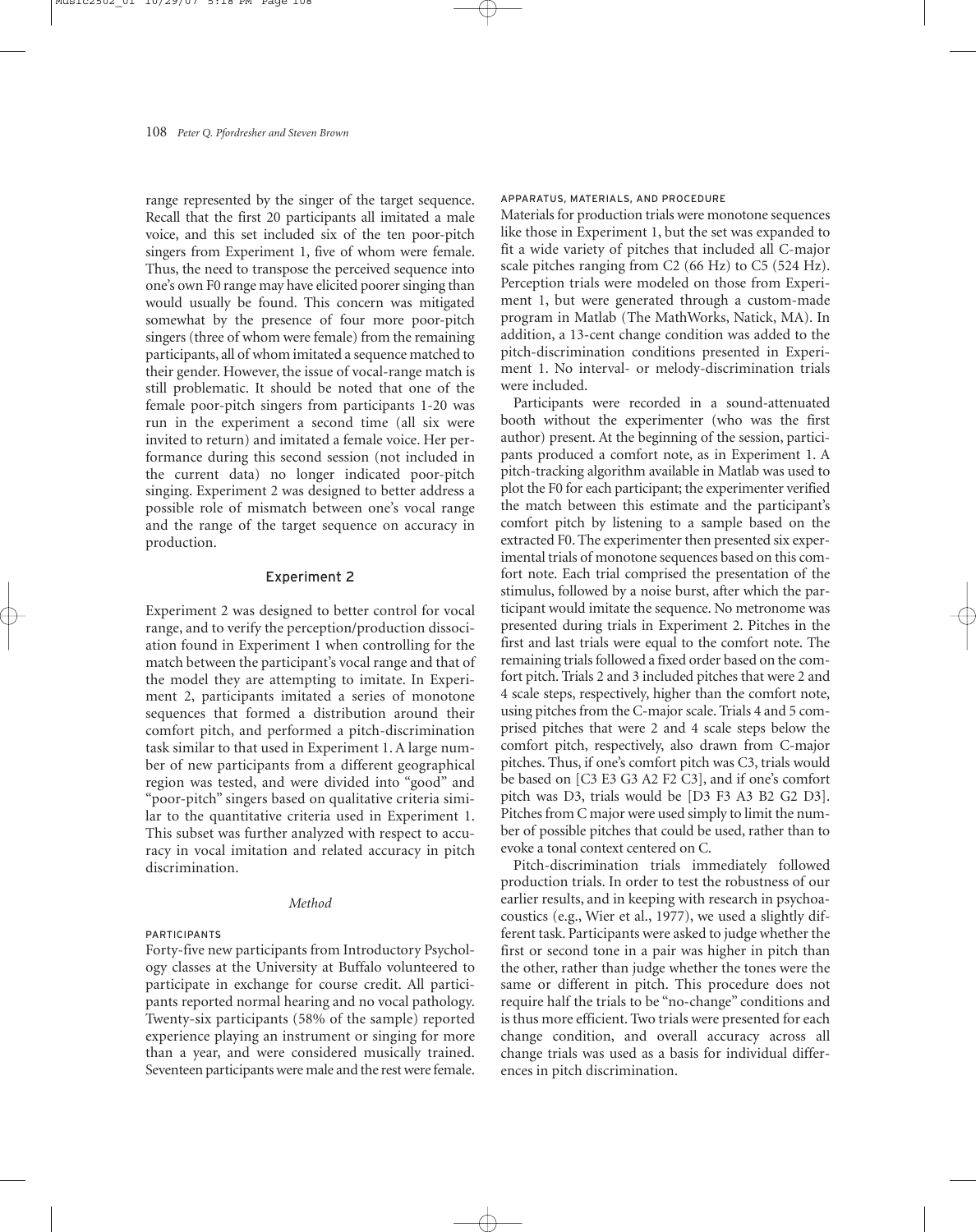range represented by the singer of the target sequence. Recall that the first 20 participants all imitated a male voice, and this set included six of the ten poor-pitch singers from Experiment 1, five of whom were female. Thus, the need to transpose the perceived sequence into one's own F0 range may have elicited poorer singing than would usually be found. This concern was mitigated somewhat by the presence of four more poor-pitch singers (three of whom were female) from the remaining participants, all of whom imitated a sequence matched to their gender. However, the issue of vocal-range match is still problematic. It should be noted that one of the female poor-pitch singers from participants 1-20 was run in the experiment a second time (all six were invited to return) and imitated a female voice. Her performance during this second session (not included in the current data) no longer indicated poor-pitch singing. Experiment 2 was designed to better address a possible role of mismatch between one's vocal range and the range of the target sequence on accuracy in production.

## Experiment 2

Experiment 2 was designed to better control for vocal range, and to verify the perception/production dissociation found in Experiment 1 when controlling for the match between the participant's vocal range and that of the model they are attempting to imitate. In Experiment 2, participants imitated a series of monotone sequences that formed a distribution around their comfort pitch, and performed a pitch-discrimination task similar to that used in Experiment 1. A large number of new participants from a different geographical region was tested, and were divided into "good" and "poor-pitch" singers based on qualitative criteria similar to the quantitative criteria used in Experiment 1. This subset was further analyzed with respect to accuracy in vocal imitation and related accuracy in pitch discrimination.

## *Method*

#### PARTICIPANTS

Forty-five new participants from Introductory Psychology classes at the University at Buffalo volunteered to participate in exchange for course credit. All participants reported normal hearing and no vocal pathology. Twenty-six participants (58% of the sample) reported experience playing an instrument or singing for more than a year, and were considered musically trained. Seventeen participants were male and the rest were female.

#### APPARATUS, MATERIALS, AND PROCEDURE

Materials for production trials were monotone sequences like those in Experiment 1, but the set was expanded to fit a wide variety of pitches that included all C-major scale pitches ranging from C2 (66 Hz) to C5 (524 Hz). Perception trials were modeled on those from Experiment 1, but were generated through a custom-made program in Matlab (The MathWorks, Natick, MA). In addition, a 13-cent change condition was added to the pitch-discrimination conditions presented in Experiment 1. No interval- or melody-discrimination trials were included.

Participants were recorded in a sound-attenuated booth without the experimenter (who was the first author) present. At the beginning of the session, participants produced a comfort note, as in Experiment 1. A pitch-tracking algorithm available in Matlab was used to plot the F0 for each participant; the experimenter verified the match between this estimate and the participant's comfort pitch by listening to a sample based on the extracted F0. The experimenter then presented six experimental trials of monotone sequences based on this comfort note. Each trial comprised the presentation of the stimulus, followed by a noise burst, after which the participant would imitate the sequence. No metronome was presented during trials in Experiment 2. Pitches in the first and last trials were equal to the comfort note. The remaining trials followed a fixed order based on the comfort pitch. Trials 2 and 3 included pitches that were 2 and 4 scale steps, respectively, higher than the comfort note, using pitches from the C-major scale. Trials 4 and 5 comprised pitches that were 2 and 4 scale steps below the comfort pitch, respectively, also drawn from C-major pitches. Thus, if one's comfort pitch was C3, trials would be based on [C3 E3 G3 A2 F2 C3], and if one's comfort pitch was D3, trials would be [D3 F3 A3 B2 G2 D3]. Pitches from C major were used simply to limit the number of possible pitches that could be used, rather than to evoke a tonal context centered on C.

Pitch-discrimination trials immediately followed production trials. In order to test the robustness of our earlier results, and in keeping with research in psychoacoustics (e.g., Wier et al., 1977), we used a slightly different task. Participants were asked to judge whether the first or second tone in a pair was higher in pitch than the other, rather than judge whether the tones were the same or different in pitch. This procedure does not require half the trials to be "no-change" conditions and is thus more efficient. Two trials were presented for each change condition, and overall accuracy across all change trials was used as a basis for individual differences in pitch discrimination.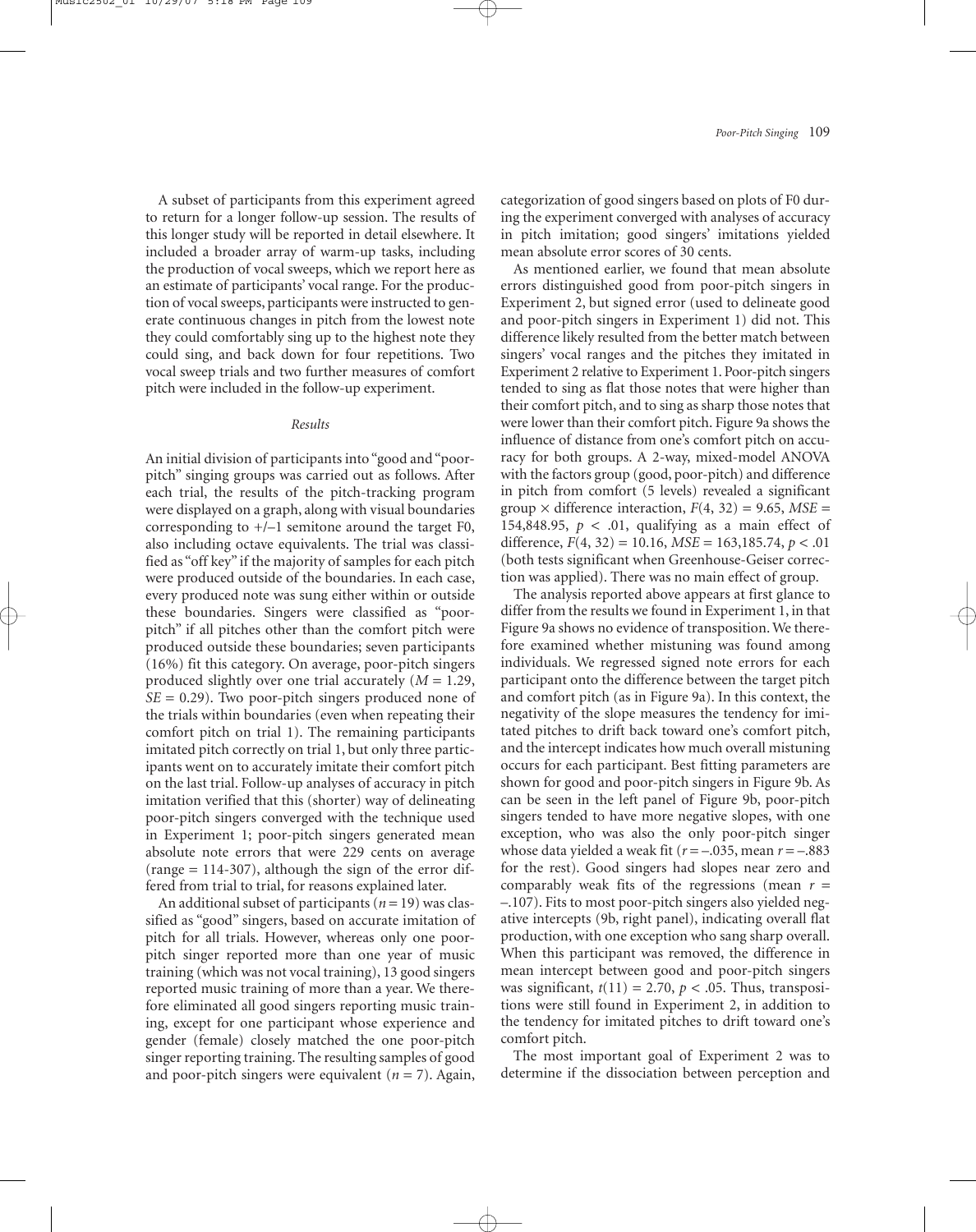A subset of participants from this experiment agreed to return for a longer follow-up session. The results of this longer study will be reported in detail elsewhere. It included a broader array of warm-up tasks, including the production of vocal sweeps, which we report here as an estimate of participants' vocal range. For the production of vocal sweeps, participants were instructed to generate continuous changes in pitch from the lowest note they could comfortably sing up to the highest note they could sing, and back down for four repetitions. Two vocal sweep trials and two further measures of comfort pitch were included in the follow-up experiment.

### *Results*

An initial division of participants into "good and "poorpitch" singing groups was carried out as follows. After each trial, the results of the pitch-tracking program were displayed on a graph, along with visual boundaries corresponding to  $+/-1$  semitone around the target F0, also including octave equivalents. The trial was classified as "off key" if the majority of samples for each pitch were produced outside of the boundaries. In each case, every produced note was sung either within or outside these boundaries. Singers were classified as "poorpitch" if all pitches other than the comfort pitch were produced outside these boundaries; seven participants (16%) fit this category. On average, poor-pitch singers produced slightly over one trial accurately (*M* = 1.29,  $SE = 0.29$ . Two poor-pitch singers produced none of the trials within boundaries (even when repeating their comfort pitch on trial 1). The remaining participants imitated pitch correctly on trial 1, but only three participants went on to accurately imitate their comfort pitch on the last trial. Follow-up analyses of accuracy in pitch imitation verified that this (shorter) way of delineating poor-pitch singers converged with the technique used in Experiment 1; poor-pitch singers generated mean absolute note errors that were 229 cents on average  $(range = 114-307)$ , although the sign of the error differed from trial to trial, for reasons explained later.

An additional subset of participants (*n* = 19) was classified as "good" singers, based on accurate imitation of pitch for all trials. However, whereas only one poorpitch singer reported more than one year of music training (which was not vocal training), 13 good singers reported music training of more than a year. We therefore eliminated all good singers reporting music training, except for one participant whose experience and gender (female) closely matched the one poor-pitch singer reporting training. The resulting samples of good and poor-pitch singers were equivalent  $(n = 7)$ . Again,

categorization of good singers based on plots of F0 during the experiment converged with analyses of accuracy in pitch imitation; good singers' imitations yielded mean absolute error scores of 30 cents.

As mentioned earlier, we found that mean absolute errors distinguished good from poor-pitch singers in Experiment 2, but signed error (used to delineate good and poor-pitch singers in Experiment 1) did not. This difference likely resulted from the better match between singers' vocal ranges and the pitches they imitated in Experiment 2 relative to Experiment 1. Poor-pitch singers tended to sing as flat those notes that were higher than their comfort pitch, and to sing as sharp those notes that were lower than their comfort pitch. Figure 9a shows the influence of distance from one's comfort pitch on accuracy for both groups. A 2-way, mixed-model ANOVA with the factors group (good, poor-pitch) and difference in pitch from comfort (5 levels) revealed a significant group  $\times$  difference interaction,  $F(4, 32) = 9.65$ ,  $MSE =$ 154,848.95,  $p < .01$ , qualifying as a main effect of difference, *F*(4, 32) = 10.16, *MSE* = 163,185.74, *p* < .01 (both tests significant when Greenhouse-Geiser correction was applied). There was no main effect of group.

The analysis reported above appears at first glance to differ from the results we found in Experiment 1, in that Figure 9a shows no evidence of transposition. We therefore examined whether mistuning was found among individuals. We regressed signed note errors for each participant onto the difference between the target pitch and comfort pitch (as in Figure 9a). In this context, the negativity of the slope measures the tendency for imitated pitches to drift back toward one's comfort pitch, and the intercept indicates how much overall mistuning occurs for each participant. Best fitting parameters are shown for good and poor-pitch singers in Figure 9b. As can be seen in the left panel of Figure 9b, poor-pitch singers tended to have more negative slopes, with one exception, who was also the only poor-pitch singer whose data yielded a weak fit (*r* = –.035, mean *r* = –.883 for the rest). Good singers had slopes near zero and comparably weak fits of the regressions (mean  $r =$ –.107). Fits to most poor-pitch singers also yielded negative intercepts (9b, right panel), indicating overall flat production, with one exception who sang sharp overall. When this participant was removed, the difference in mean intercept between good and poor-pitch singers was significant,  $t(11) = 2.70$ ,  $p < .05$ . Thus, transpositions were still found in Experiment 2, in addition to the tendency for imitated pitches to drift toward one's comfort pitch.

The most important goal of Experiment 2 was to determine if the dissociation between perception and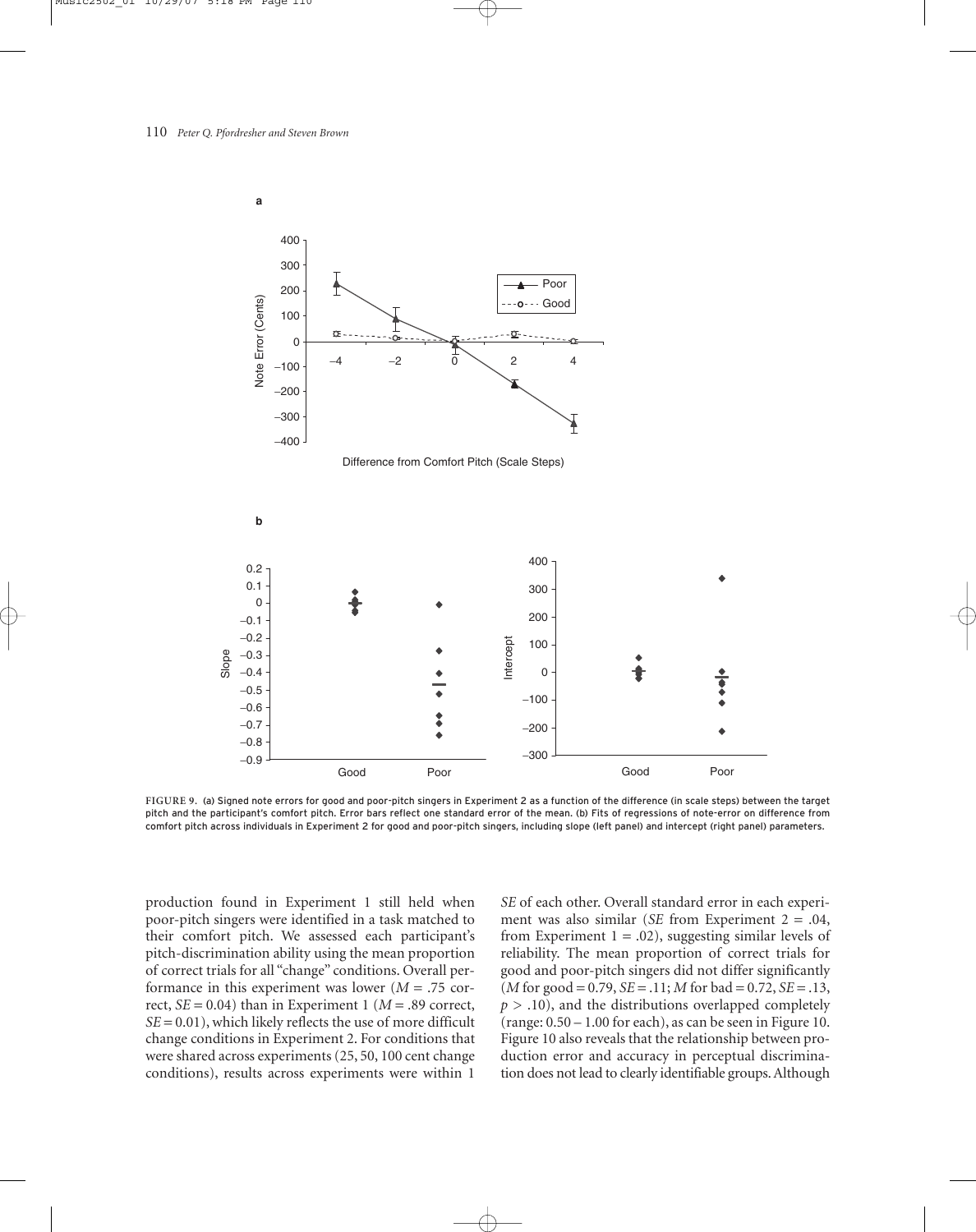

**FIGURE 9.** (a) Signed note errors for good and poor-pitch singers in Experiment 2 as a function of the difference (in scale steps) between the target pitch and the participant's comfort pitch. Error bars reflect one standard error of the mean. (b) Fits of regressions of note-error on difference from comfort pitch across individuals in Experiment 2 for good and poor-pitch singers, including slope (left panel) and intercept (right panel) parameters.

production found in Experiment 1 still held when poor-pitch singers were identified in a task matched to their comfort pitch. We assessed each participant's pitch-discrimination ability using the mean proportion of correct trials for all "change" conditions. Overall performance in this experiment was lower (*M* = .75 correct,  $SE = 0.04$ ) than in Experiment 1 ( $M = .89$  correct,  $SE = 0.01$ , which likely reflects the use of more difficult change conditions in Experiment 2. For conditions that were shared across experiments (25, 50, 100 cent change conditions), results across experiments were within 1

*SE* of each other. Overall standard error in each experiment was also similar (*SE* from Experiment 2 = .04, from Experiment  $1 = .02$ ), suggesting similar levels of reliability. The mean proportion of correct trials for good and poor-pitch singers did not differ significantly (*M* for good = 0.79, *SE* = .11; *M* for bad = 0.72, *SE* = .13, *p* > .10), and the distributions overlapped completely (range: 0.50 – 1.00 for each), as can be seen in Figure 10. Figure 10 also reveals that the relationship between production error and accuracy in perceptual discrimination does not lead to clearly identifiable groups. Although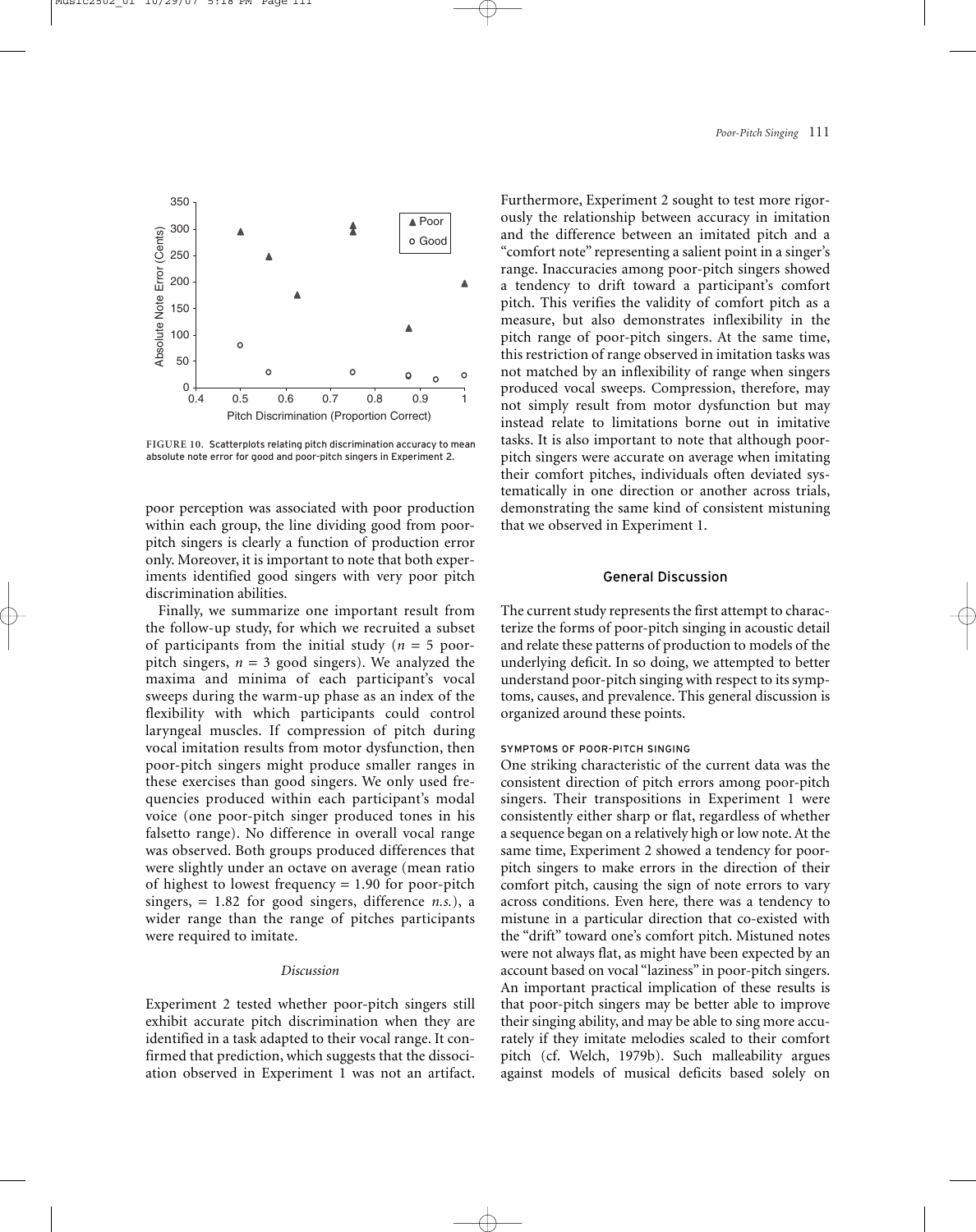

**FIGURE 10.** Scatterplots relating pitch discrimination accuracy to mean absolute note error for good and poor-pitch singers in Experiment 2.

poor perception was associated with poor production within each group, the line dividing good from poorpitch singers is clearly a function of production error only. Moreover, it is important to note that both experiments identified good singers with very poor pitch discrimination abilities.

Finally, we summarize one important result from the follow-up study, for which we recruited a subset of participants from the initial study (*n* = 5 poorpitch singers,  $n = 3$  good singers). We analyzed the maxima and minima of each participant's vocal sweeps during the warm-up phase as an index of the flexibility with which participants could control laryngeal muscles. If compression of pitch during vocal imitation results from motor dysfunction, then poor-pitch singers might produce smaller ranges in these exercises than good singers. We only used frequencies produced within each participant's modal voice (one poor-pitch singer produced tones in his falsetto range). No difference in overall vocal range was observed. Both groups produced differences that were slightly under an octave on average (mean ratio of highest to lowest frequency = 1.90 for poor-pitch singers, = 1.82 for good singers, difference *n.s.*), a wider range than the range of pitches participants were required to imitate.

# *Discussion*

Experiment 2 tested whether poor-pitch singers still exhibit accurate pitch discrimination when they are identified in a task adapted to their vocal range. It confirmed that prediction, which suggests that the dissociation observed in Experiment 1 was not an artifact. Furthermore, Experiment 2 sought to test more rigorously the relationship between accuracy in imitation and the difference between an imitated pitch and a "comfort note" representing a salient point in a singer's range. Inaccuracies among poor-pitch singers showed a tendency to drift toward a participant's comfort pitch. This verifies the validity of comfort pitch as a measure, but also demonstrates inflexibility in the pitch range of poor-pitch singers. At the same time, this restriction of range observed in imitation tasks was not matched by an inflexibility of range when singers produced vocal sweeps. Compression, therefore, may not simply result from motor dysfunction but may instead relate to limitations borne out in imitative tasks. It is also important to note that although poorpitch singers were accurate on average when imitating their comfort pitches, individuals often deviated systematically in one direction or another across trials, demonstrating the same kind of consistent mistuning that we observed in Experiment 1.

### General Discussion

The current study represents the first attempt to characterize the forms of poor-pitch singing in acoustic detail and relate these patterns of production to models of the underlying deficit. In so doing, we attempted to better understand poor-pitch singing with respect to its symptoms, causes, and prevalence. This general discussion is organized around these points.

# SYMPTOMS OF POOR-PITCH SINGING

One striking characteristic of the current data was the consistent direction of pitch errors among poor-pitch singers. Their transpositions in Experiment 1 were consistently either sharp or flat, regardless of whether a sequence began on a relatively high or low note. At the same time, Experiment 2 showed a tendency for poorpitch singers to make errors in the direction of their comfort pitch, causing the sign of note errors to vary across conditions. Even here, there was a tendency to mistune in a particular direction that co-existed with the "drift" toward one's comfort pitch. Mistuned notes were not always flat, as might have been expected by an account based on vocal "laziness" in poor-pitch singers. An important practical implication of these results is that poor-pitch singers may be better able to improve their singing ability, and may be able to sing more accurately if they imitate melodies scaled to their comfort pitch (cf. Welch, 1979b). Such malleability argues against models of musical deficits based solely on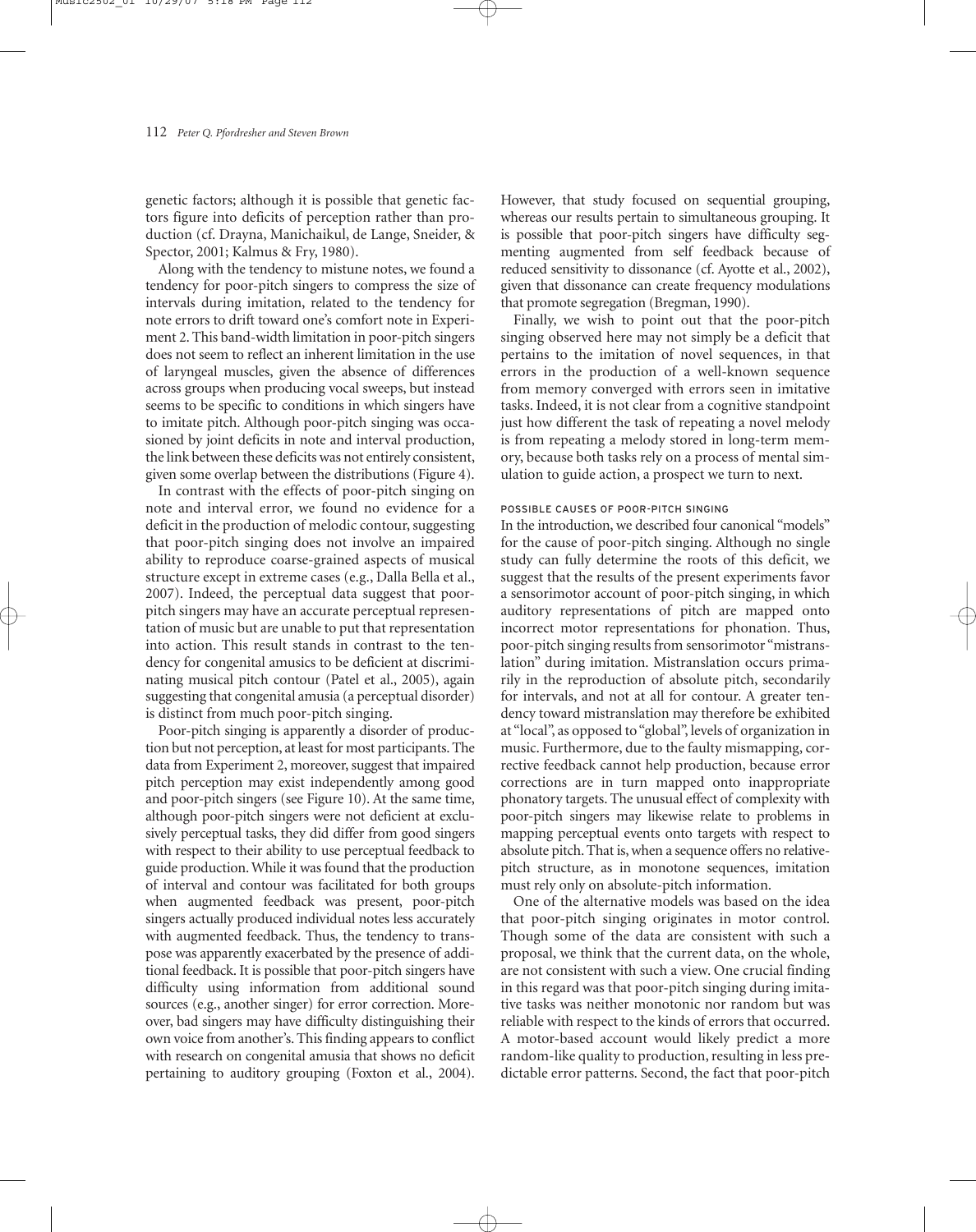genetic factors; although it is possible that genetic factors figure into deficits of perception rather than production (cf. Drayna, Manichaikul, de Lange, Sneider, & Spector, 2001; Kalmus & Fry, 1980).

Along with the tendency to mistune notes, we found a tendency for poor-pitch singers to compress the size of intervals during imitation, related to the tendency for note errors to drift toward one's comfort note in Experiment 2. This band-width limitation in poor-pitch singers does not seem to reflect an inherent limitation in the use of laryngeal muscles, given the absence of differences across groups when producing vocal sweeps, but instead seems to be specific to conditions in which singers have to imitate pitch. Although poor-pitch singing was occasioned by joint deficits in note and interval production, the link between these deficits was not entirely consistent, given some overlap between the distributions (Figure 4).

In contrast with the effects of poor-pitch singing on note and interval error, we found no evidence for a deficit in the production of melodic contour, suggesting that poor-pitch singing does not involve an impaired ability to reproduce coarse-grained aspects of musical structure except in extreme cases (e.g., Dalla Bella et al., 2007). Indeed, the perceptual data suggest that poorpitch singers may have an accurate perceptual representation of music but are unable to put that representation into action. This result stands in contrast to the tendency for congenital amusics to be deficient at discriminating musical pitch contour (Patel et al., 2005), again suggesting that congenital amusia (a perceptual disorder) is distinct from much poor-pitch singing.

Poor-pitch singing is apparently a disorder of production but not perception, at least for most participants. The data from Experiment 2, moreover, suggest that impaired pitch perception may exist independently among good and poor-pitch singers (see Figure 10). At the same time, although poor-pitch singers were not deficient at exclusively perceptual tasks, they did differ from good singers with respect to their ability to use perceptual feedback to guide production. While it was found that the production of interval and contour was facilitated for both groups when augmented feedback was present, poor-pitch singers actually produced individual notes less accurately with augmented feedback. Thus, the tendency to transpose was apparently exacerbated by the presence of additional feedback. It is possible that poor-pitch singers have difficulty using information from additional sound sources (e.g., another singer) for error correction. Moreover, bad singers may have difficulty distinguishing their own voice from another's. This finding appears to conflict with research on congenital amusia that shows no deficit pertaining to auditory grouping (Foxton et al., 2004).

However, that study focused on sequential grouping, whereas our results pertain to simultaneous grouping. It is possible that poor-pitch singers have difficulty segmenting augmented from self feedback because of reduced sensitivity to dissonance (cf. Ayotte et al., 2002), given that dissonance can create frequency modulations that promote segregation (Bregman, 1990).

Finally, we wish to point out that the poor-pitch singing observed here may not simply be a deficit that pertains to the imitation of novel sequences, in that errors in the production of a well-known sequence from memory converged with errors seen in imitative tasks. Indeed, it is not clear from a cognitive standpoint just how different the task of repeating a novel melody is from repeating a melody stored in long-term memory, because both tasks rely on a process of mental simulation to guide action, a prospect we turn to next.

### POSSIBLE CAUSES OF POOR-PITCH SINGING

In the introduction, we described four canonical "models" for the cause of poor-pitch singing. Although no single study can fully determine the roots of this deficit, we suggest that the results of the present experiments favor a sensorimotor account of poor-pitch singing, in which auditory representations of pitch are mapped onto incorrect motor representations for phonation. Thus, poor-pitch singing results from sensorimotor "mistranslation" during imitation. Mistranslation occurs primarily in the reproduction of absolute pitch, secondarily for intervals, and not at all for contour. A greater tendency toward mistranslation may therefore be exhibited at "local", as opposed to "global", levels of organization in music. Furthermore, due to the faulty mismapping, corrective feedback cannot help production, because error corrections are in turn mapped onto inappropriate phonatory targets. The unusual effect of complexity with poor-pitch singers may likewise relate to problems in mapping perceptual events onto targets with respect to absolute pitch. That is, when a sequence offers no relativepitch structure, as in monotone sequences, imitation must rely only on absolute-pitch information.

One of the alternative models was based on the idea that poor-pitch singing originates in motor control. Though some of the data are consistent with such a proposal, we think that the current data, on the whole, are not consistent with such a view. One crucial finding in this regard was that poor-pitch singing during imitative tasks was neither monotonic nor random but was reliable with respect to the kinds of errors that occurred. A motor-based account would likely predict a more random-like quality to production, resulting in less predictable error patterns. Second, the fact that poor-pitch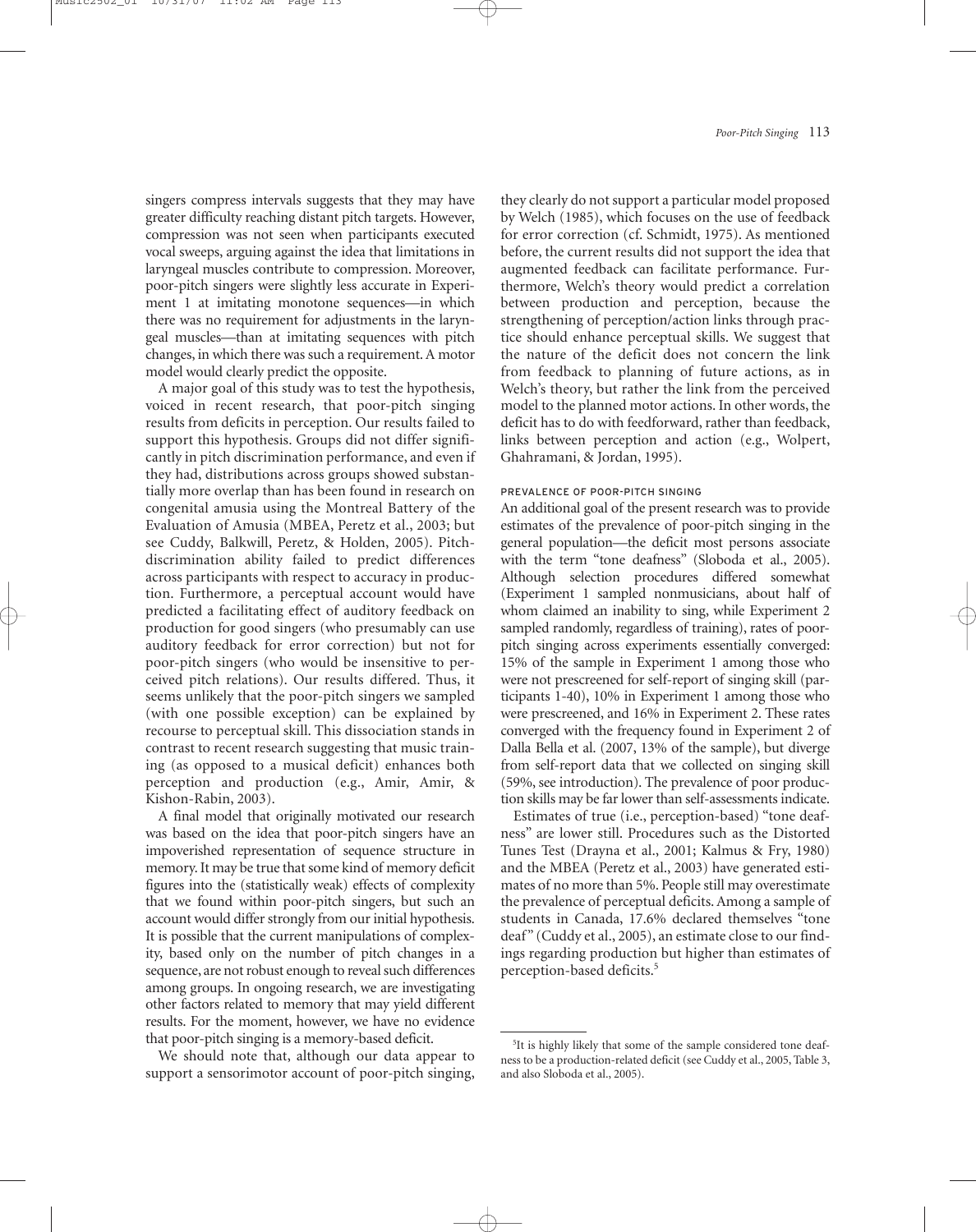singers compress intervals suggests that they may have greater difficulty reaching distant pitch targets. However, compression was not seen when participants executed vocal sweeps, arguing against the idea that limitations in laryngeal muscles contribute to compression. Moreover, poor-pitch singers were slightly less accurate in Experiment 1 at imitating monotone sequences—in which there was no requirement for adjustments in the laryngeal muscles—than at imitating sequences with pitch changes, in which there was such a requirement. A motor model would clearly predict the opposite.

A major goal of this study was to test the hypothesis, voiced in recent research, that poor-pitch singing results from deficits in perception. Our results failed to support this hypothesis. Groups did not differ significantly in pitch discrimination performance, and even if they had, distributions across groups showed substantially more overlap than has been found in research on congenital amusia using the Montreal Battery of the Evaluation of Amusia (MBEA, Peretz et al., 2003; but see Cuddy, Balkwill, Peretz, & Holden, 2005). Pitchdiscrimination ability failed to predict differences across participants with respect to accuracy in production. Furthermore, a perceptual account would have predicted a facilitating effect of auditory feedback on production for good singers (who presumably can use auditory feedback for error correction) but not for poor-pitch singers (who would be insensitive to perceived pitch relations). Our results differed. Thus, it seems unlikely that the poor-pitch singers we sampled (with one possible exception) can be explained by recourse to perceptual skill. This dissociation stands in contrast to recent research suggesting that music training (as opposed to a musical deficit) enhances both perception and production (e.g., Amir, Amir, & Kishon-Rabin, 2003).

A final model that originally motivated our research was based on the idea that poor-pitch singers have an impoverished representation of sequence structure in memory. It may be true that some kind of memory deficit figures into the (statistically weak) effects of complexity that we found within poor-pitch singers, but such an account would differ strongly from our initial hypothesis. It is possible that the current manipulations of complexity, based only on the number of pitch changes in a sequence, are not robust enough to reveal such differences among groups. In ongoing research, we are investigating other factors related to memory that may yield different results. For the moment, however, we have no evidence that poor-pitch singing is a memory-based deficit.

We should note that, although our data appear to support a sensorimotor account of poor-pitch singing, they clearly do not support a particular model proposed by Welch (1985), which focuses on the use of feedback for error correction (cf. Schmidt, 1975). As mentioned before, the current results did not support the idea that augmented feedback can facilitate performance. Furthermore, Welch's theory would predict a correlation between production and perception, because the strengthening of perception/action links through practice should enhance perceptual skills. We suggest that the nature of the deficit does not concern the link from feedback to planning of future actions, as in Welch's theory, but rather the link from the perceived model to the planned motor actions. In other words, the deficit has to do with feedforward, rather than feedback, links between perception and action (e.g., Wolpert, Ghahramani, & Jordan, 1995).

# PREVALENCE OF POOR-PITCH SINGING

An additional goal of the present research was to provide estimates of the prevalence of poor-pitch singing in the general population—the deficit most persons associate with the term "tone deafness" (Sloboda et al., 2005). Although selection procedures differed somewhat (Experiment 1 sampled nonmusicians, about half of whom claimed an inability to sing, while Experiment 2 sampled randomly, regardless of training), rates of poorpitch singing across experiments essentially converged: 15% of the sample in Experiment 1 among those who were not prescreened for self-report of singing skill (participants 1-40), 10% in Experiment 1 among those who were prescreened, and 16% in Experiment 2. These rates converged with the frequency found in Experiment 2 of Dalla Bella et al. (2007, 13% of the sample), but diverge from self-report data that we collected on singing skill (59%, see introduction). The prevalence of poor production skills may be far lower than self-assessments indicate.

Estimates of true (i.e., perception-based) "tone deafness" are lower still. Procedures such as the Distorted Tunes Test (Drayna et al., 2001; Kalmus & Fry, 1980) and the MBEA (Peretz et al., 2003) have generated estimates of no more than 5%. People still may overestimate the prevalence of perceptual deficits. Among a sample of students in Canada, 17.6% declared themselves "tone deaf" (Cuddy et al., 2005), an estimate close to our findings regarding production but higher than estimates of perception-based deficits.<sup>5</sup>

<sup>&</sup>lt;sup>5</sup>It is highly likely that some of the sample considered tone deafness to be a production-related deficit (see Cuddy et al., 2005, Table 3, and also Sloboda et al., 2005).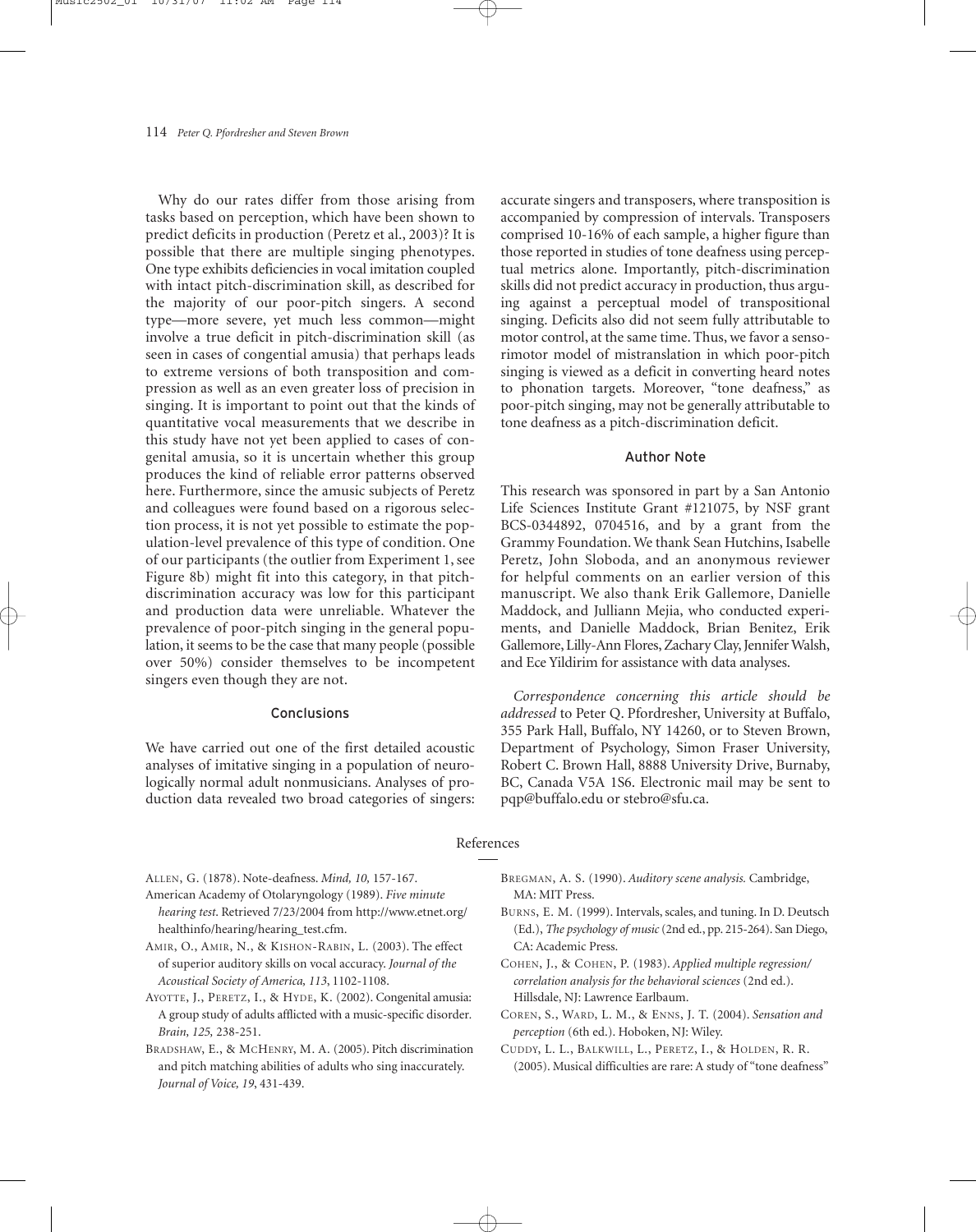Why do our rates differ from those arising from tasks based on perception, which have been shown to predict deficits in production (Peretz et al., 2003)? It is possible that there are multiple singing phenotypes. One type exhibits deficiencies in vocal imitation coupled with intact pitch-discrimination skill, as described for the majority of our poor-pitch singers. A second type—more severe, yet much less common—might involve a true deficit in pitch-discrimination skill (as seen in cases of congential amusia) that perhaps leads to extreme versions of both transposition and compression as well as an even greater loss of precision in singing. It is important to point out that the kinds of quantitative vocal measurements that we describe in this study have not yet been applied to cases of congenital amusia, so it is uncertain whether this group produces the kind of reliable error patterns observed here. Furthermore, since the amusic subjects of Peretz and colleagues were found based on a rigorous selection process, it is not yet possible to estimate the population-level prevalence of this type of condition. One of our participants (the outlier from Experiment 1, see Figure 8b) might fit into this category, in that pitchdiscrimination accuracy was low for this participant and production data were unreliable. Whatever the prevalence of poor-pitch singing in the general population, it seems to be the case that many people (possible over 50%) consider themselves to be incompetent singers even though they are not.

### Conclusions

We have carried out one of the first detailed acoustic analyses of imitative singing in a population of neurologically normal adult nonmusicians. Analyses of production data revealed two broad categories of singers: accurate singers and transposers, where transposition is accompanied by compression of intervals. Transposers comprised 10-16% of each sample, a higher figure than those reported in studies of tone deafness using perceptual metrics alone. Importantly, pitch-discrimination skills did not predict accuracy in production, thus arguing against a perceptual model of transpositional singing. Deficits also did not seem fully attributable to motor control, at the same time. Thus, we favor a sensorimotor model of mistranslation in which poor-pitch singing is viewed as a deficit in converting heard notes to phonation targets. Moreover, "tone deafness," as poor-pitch singing, may not be generally attributable to tone deafness as a pitch-discrimination deficit.

### Author Note

This research was sponsored in part by a San Antonio Life Sciences Institute Grant #121075, by NSF grant BCS-0344892, 0704516, and by a grant from the Grammy Foundation. We thank Sean Hutchins, Isabelle Peretz, John Sloboda, and an anonymous reviewer for helpful comments on an earlier version of this manuscript. We also thank Erik Gallemore, Danielle Maddock, and Julliann Mejia, who conducted experiments, and Danielle Maddock, Brian Benitez, Erik Gallemore, Lilly-Ann Flores, Zachary Clay, Jennifer Walsh, and Ece Yildirim for assistance with data analyses.

*Correspondence concerning this article should be addressed* to Peter Q. Pfordresher, University at Buffalo, 355 Park Hall, Buffalo, NY 14260, or to Steven Brown, Department of Psychology, Simon Fraser University, Robert C. Brown Hall, 8888 University Drive, Burnaby, BC, Canada V5A 1S6. Electronic mail may be sent to pqp@buffalo.edu or stebro@sfu.ca.

# References

ALLEN, G. (1878). Note-deafness. *Mind, 10,* 157-167.

- American Academy of Otolaryngology (1989). *Five minute hearing test*. Retrieved 7/23/2004 from http://www.etnet.org/ healthinfo/hearing/hearing\_test.cfm.
- AMIR, O., AMIR, N., & KISHON-RABIN, L. (2003). The effect of superior auditory skills on vocal accuracy. *Journal of the Acoustical Society of America, 113*, 1102-1108.
- AYOTTE, J., PERETZ, I., & HYDE, K. (2002). Congenital amusia: A group study of adults afflicted with a music-specific disorder*. Brain, 125,* 238-251.
- BRADSHAW, E., & MCHENRY, M. A. (2005). Pitch discrimination and pitch matching abilities of adults who sing inaccurately. *Journal of Voice, 19*, 431-439.
- BREGMAN, A. S. (1990). *Auditory scene analysis.* Cambridge, MA: MIT Press.
- BURNS, E. M. (1999). Intervals, scales, and tuning. In D. Deutsch (Ed.), *The psychology of music* (2nd ed*.*, pp. 215-264). San Diego, CA: Academic Press.

COHEN, J., & COHEN, P. (1983). *Applied multiple regression/ correlation analysis for the behavioral sciences* (2nd ed.). Hillsdale, NJ: Lawrence Earlbaum.

- COREN, S., WARD, L. M., & ENNS, J. T. (2004). *Sensation and perception* (6th ed.). Hoboken, NJ: Wiley.
- CUDDY, L. L., BALKWILL, L., PERETZ, I., & HOLDEN, R. R. (2005). Musical difficulties are rare: A study of "tone deafness"